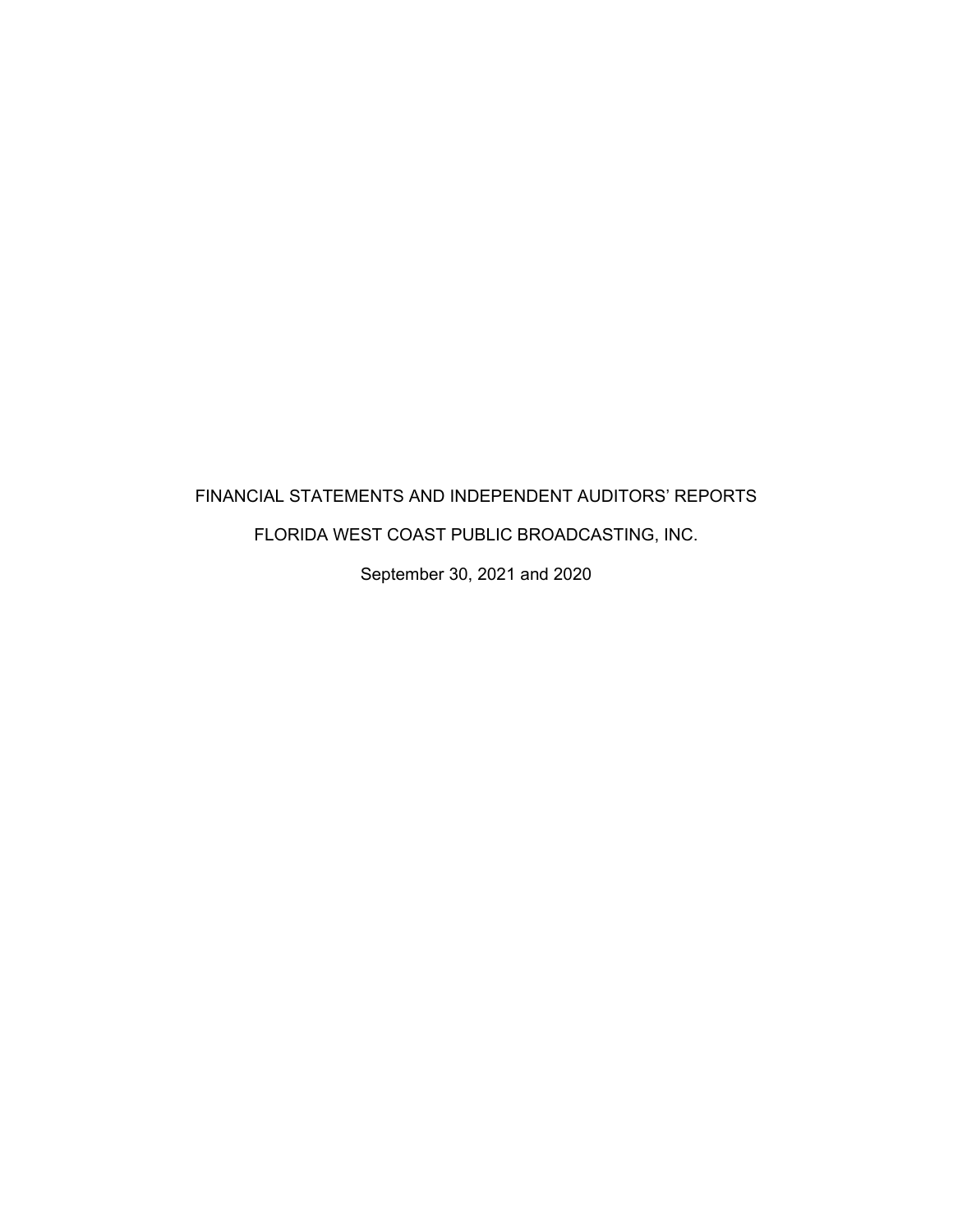# FINANCIAL STATEMENTS AND INDEPENDENT AUDITORS' REPORTS FLORIDA WEST COAST PUBLIC BROADCASTING, INC.

September 30, 2021 and 2020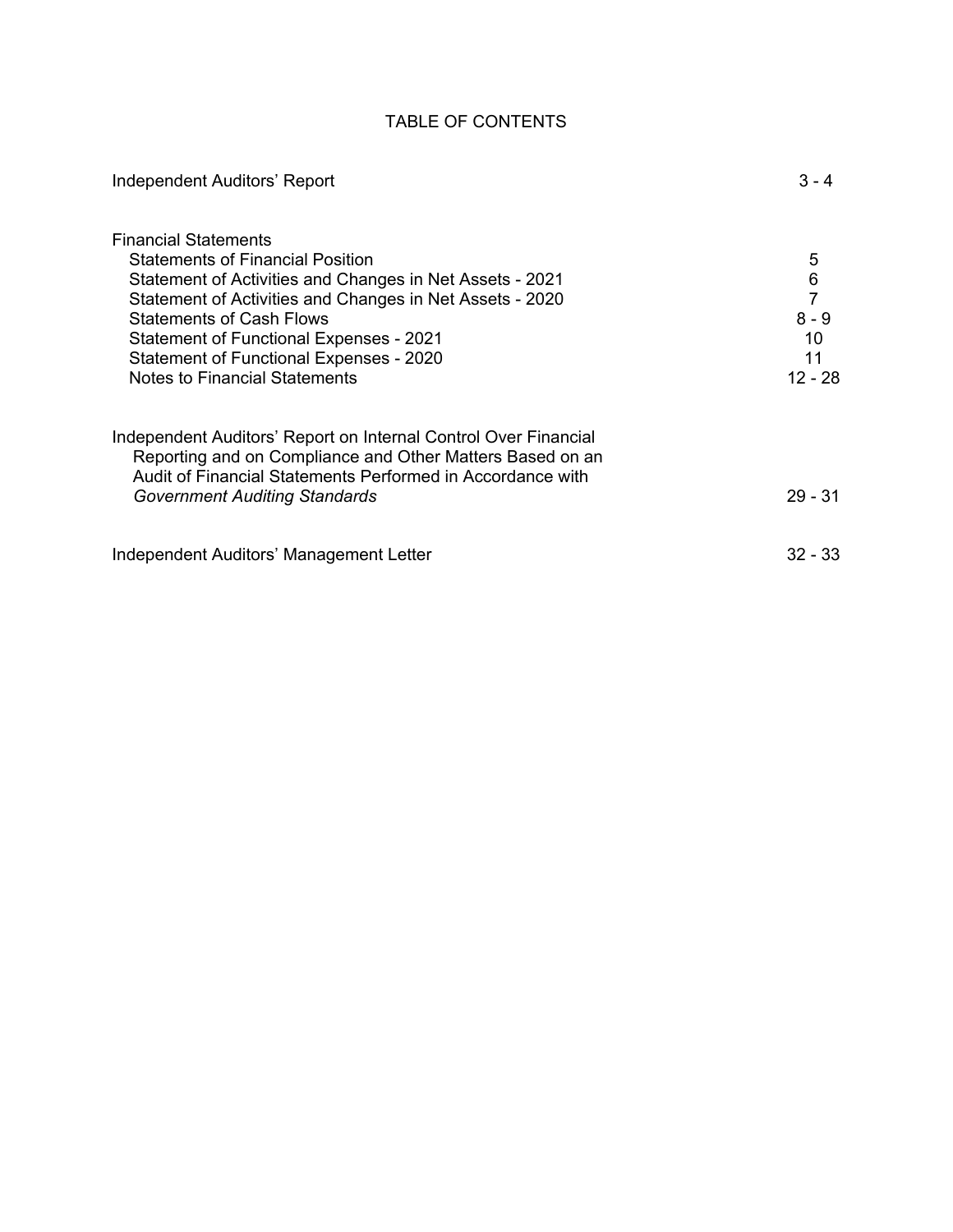# TABLE OF CONTENTS

| Independent Auditors' Report                                                                                                                                                                                                                                                                                                                                                  | $3 - 4$                                                        |
|-------------------------------------------------------------------------------------------------------------------------------------------------------------------------------------------------------------------------------------------------------------------------------------------------------------------------------------------------------------------------------|----------------------------------------------------------------|
| <b>Financial Statements</b><br><b>Statements of Financial Position</b><br>Statement of Activities and Changes in Net Assets - 2021<br>Statement of Activities and Changes in Net Assets - 2020<br><b>Statements of Cash Flows</b><br><b>Statement of Functional Expenses - 2021</b><br><b>Statement of Functional Expenses - 2020</b><br><b>Notes to Financial Statements</b> | 5<br>$\,6$<br>$\overline{7}$<br>$8 - 9$<br>10<br>11<br>12 - 28 |
| Independent Auditors' Report on Internal Control Over Financial<br>Reporting and on Compliance and Other Matters Based on an<br>Audit of Financial Statements Performed in Accordance with<br><b>Government Auditing Standards</b>                                                                                                                                            | 29 - 31                                                        |
| Independent Auditors' Management Letter                                                                                                                                                                                                                                                                                                                                       | $32 - 33$                                                      |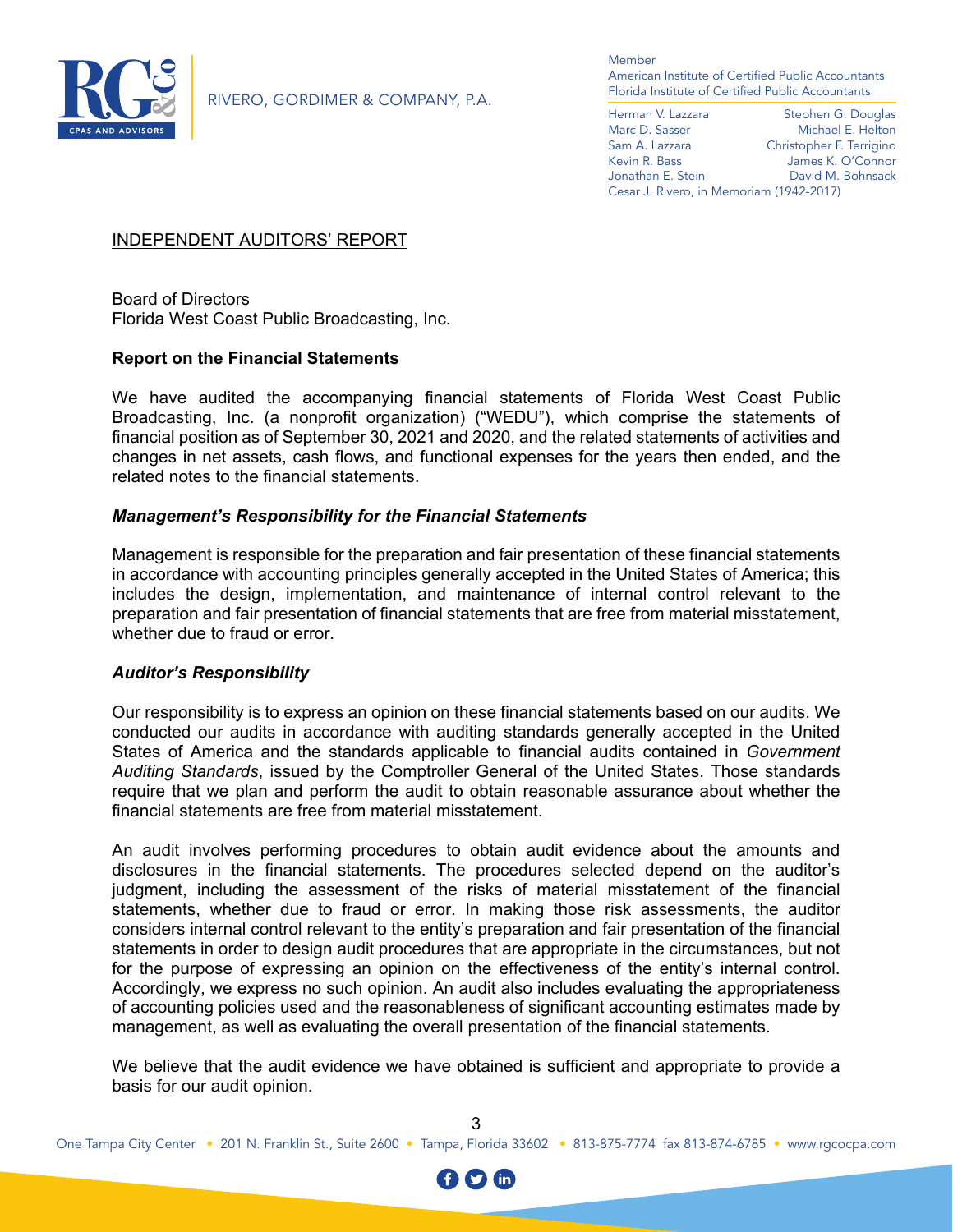

RIVERO, GORDIMER & COMPANY, P.A.

Member American Institute of Certified Public Accountants Florida Institute of Certified Public Accountants

Herman V. Lazzara Stephen G. Douglas Marc D. Sasser Michael E. Helton<br>
Sam A. Lazzara Christopher F. Terrigino Christopher F. Terrigino Kevin R. Bass James K. O'Connor Jonathan E. Stein David M. Bohnsack Cesar J. Rivero, in Memoriam (1942-2017)

# INDEPENDENT AUDITORS' REPORT

Board of Directors Florida West Coast Public Broadcasting, Inc.

# **Report on the Financial Statements**

We have audited the accompanying financial statements of Florida West Coast Public Broadcasting, Inc. (a nonprofit organization) ("WEDU"), which comprise the statements of financial position as of September 30, 2021 and 2020, and the related statements of activities and changes in net assets, cash flows, and functional expenses for the years then ended, and the related notes to the financial statements.

# *Management's Responsibility for the Financial Statements*

Management is responsible for the preparation and fair presentation of these financial statements in accordance with accounting principles generally accepted in the United States of America; this includes the design, implementation, and maintenance of internal control relevant to the preparation and fair presentation of financial statements that are free from material misstatement, whether due to fraud or error.

#### *Auditor's Responsibility*

Our responsibility is to express an opinion on these financial statements based on our audits. We conducted our audits in accordance with auditing standards generally accepted in the United States of America and the standards applicable to financial audits contained in *Government Auditing Standards*, issued by the Comptroller General of the United States. Those standards require that we plan and perform the audit to obtain reasonable assurance about whether the financial statements are free from material misstatement.

An audit involves performing procedures to obtain audit evidence about the amounts and disclosures in the financial statements. The procedures selected depend on the auditor's judgment, including the assessment of the risks of material misstatement of the financial statements, whether due to fraud or error. In making those risk assessments, the auditor considers internal control relevant to the entity's preparation and fair presentation of the financial statements in order to design audit procedures that are appropriate in the circumstances, but not for the purpose of expressing an opinion on the effectiveness of the entity's internal control. Accordingly, we express no such opinion. An audit also includes evaluating the appropriateness of accounting policies used and the reasonableness of significant accounting estimates made by management, as well as evaluating the overall presentation of the financial statements.

We believe that the audit evidence we have obtained is sufficient and appropriate to provide a basis for our audit opinion.

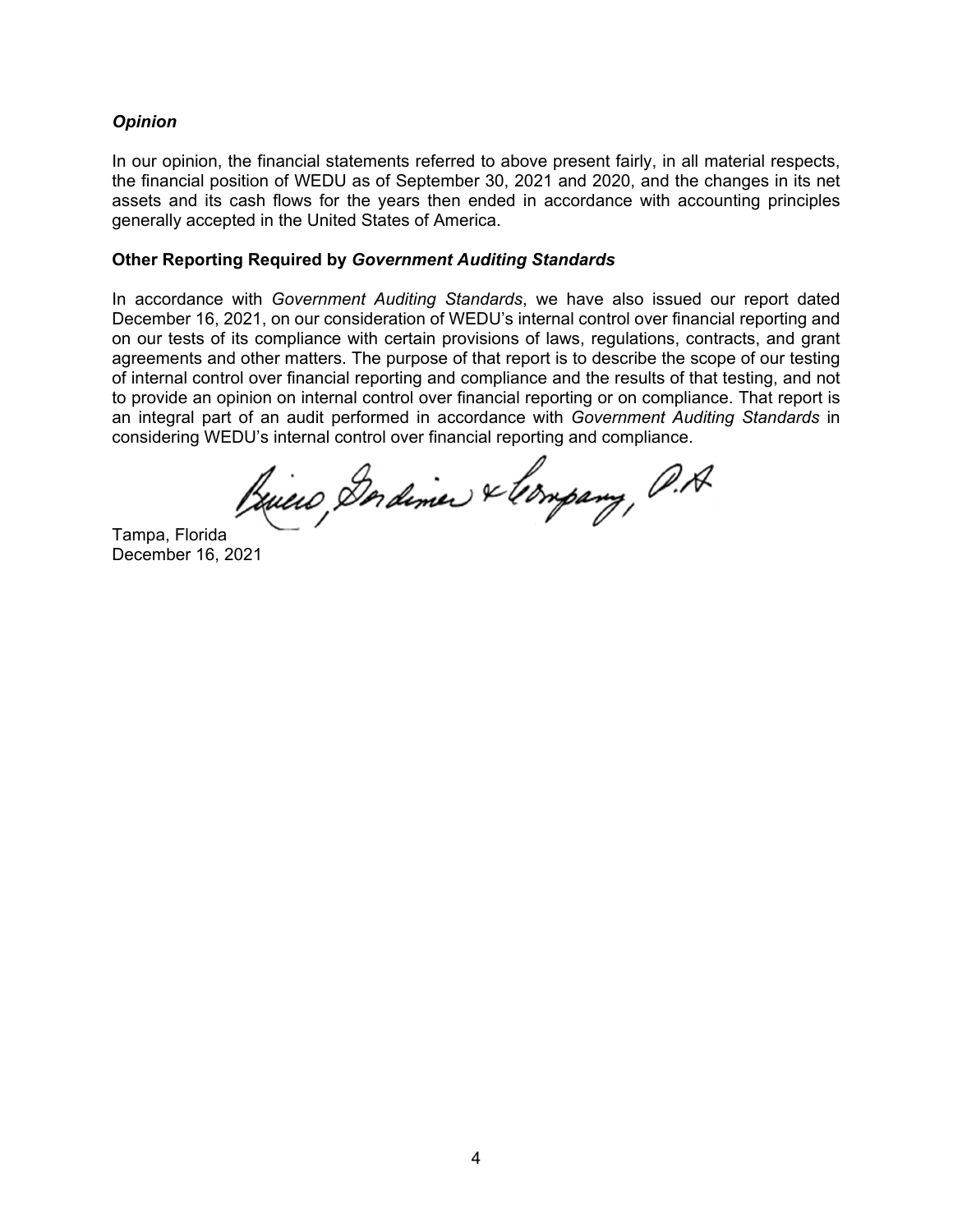# *Opinion*

In our opinion, the financial statements referred to above present fairly, in all material respects, the financial position of WEDU as of September 30, 2021 and 2020, and the changes in its net assets and its cash flows for the years then ended in accordance with accounting principles generally accepted in the United States of America.

#### **Other Reporting Required by** *Government Auditing Standards*

In accordance with *Government Auditing Standards*, we have also issued our report dated December 16, 2021, on our consideration of WEDU's internal control over financial reporting and on our tests of its compliance with certain provisions of laws, regulations, contracts, and grant agreements and other matters. The purpose of that report is to describe the scope of our testing of internal control over financial reporting and compliance and the results of that testing, and not to provide an opinion on internal control over financial reporting or on compliance. That report is an integral part of an audit performed in accordance with *Government Auditing Standards* in considering WEDU's internal control over financial reporting and compliance.

Briero, Dordiner & longary, P.A.

Tampa, Florida December 16, 2021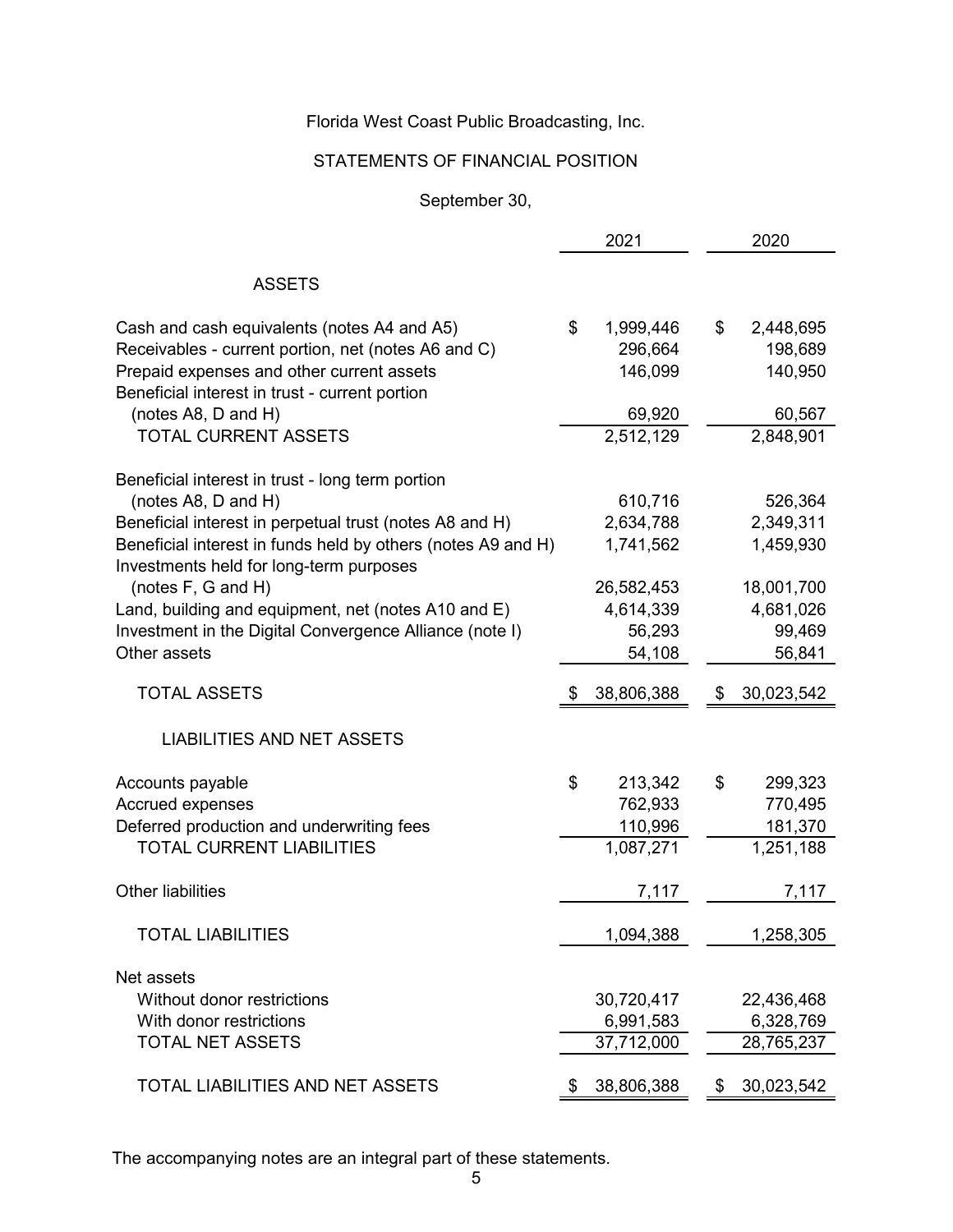# STATEMENTS OF FINANCIAL POSITION

September 30,

|                                                                                                                                                                                                    | 2021                                             | 2020                                             |
|----------------------------------------------------------------------------------------------------------------------------------------------------------------------------------------------------|--------------------------------------------------|--------------------------------------------------|
| <b>ASSETS</b>                                                                                                                                                                                      |                                                  |                                                  |
| Cash and cash equivalents (notes A4 and A5)<br>Receivables - current portion, net (notes A6 and C)<br>Prepaid expenses and other current assets<br>Beneficial interest in trust - current portion  | \$<br>1,999,446<br>296,664<br>146,099            | \$<br>2,448,695<br>198,689<br>140,950            |
| (notes A8, D and H)<br><b>TOTAL CURRENT ASSETS</b>                                                                                                                                                 | 69,920<br>2,512,129                              | 60,567<br>2,848,901                              |
|                                                                                                                                                                                                    |                                                  |                                                  |
| Beneficial interest in trust - long term portion<br>(notes A8, D and H)<br>Beneficial interest in perpetual trust (notes A8 and H)<br>Beneficial interest in funds held by others (notes A9 and H) | 610,716<br>2,634,788<br>1,741,562                | 526,364<br>2,349,311<br>1,459,930                |
| Investments held for long-term purposes<br>(notes F, G and H)<br>Land, building and equipment, net (notes A10 and E)<br>Investment in the Digital Convergence Alliance (note I)<br>Other assets    | 26,582,453<br>4,614,339<br>56,293<br>54,108      | 18,001,700<br>4,681,026<br>99,469<br>56,841      |
| <b>TOTAL ASSETS</b>                                                                                                                                                                                | 38,806,388                                       | \$<br>30,023,542                                 |
| <b>LIABILITIES AND NET ASSETS</b>                                                                                                                                                                  |                                                  |                                                  |
| Accounts payable<br><b>Accrued expenses</b><br>Deferred production and underwriting fees<br>TOTAL CURRENT LIABILITIES                                                                              | \$<br>213,342<br>762,933<br>110,996<br>1,087,271 | \$<br>299,323<br>770,495<br>181,370<br>1,251,188 |
| <b>Other liabilities</b>                                                                                                                                                                           | 7,117                                            | 7,117                                            |
| <b>TOTAL LIABILITIES</b>                                                                                                                                                                           | 1,094,388                                        | 1,258,305                                        |
| Net assets<br>Without donor restrictions<br>With donor restrictions<br><b>TOTAL NET ASSETS</b>                                                                                                     | 30,720,417<br>6,991,583<br>37,712,000            | 22,436,468<br>6,328,769<br>28,765,237            |
| TOTAL LIABILITIES AND NET ASSETS                                                                                                                                                                   | \$<br>38,806,388                                 | \$<br>30,023,542                                 |

The accompanying notes are an integral part of these statements.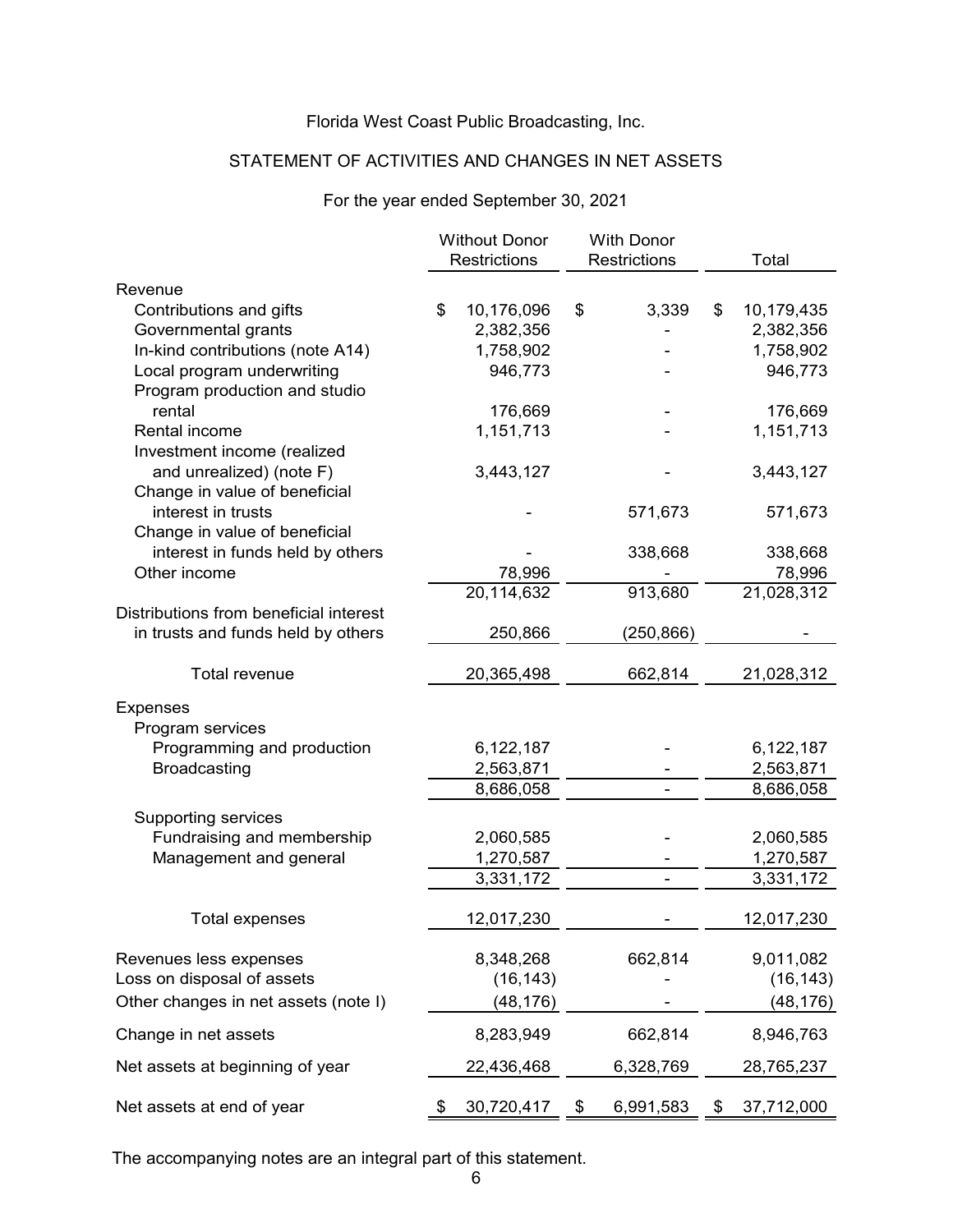# STATEMENT OF ACTIVITIES AND CHANGES IN NET ASSETS

# For the year ended September 30, 2021

| Restrictions<br>Restrictions<br>Total<br>Revenue<br>3,339<br>Contributions and gifts<br>\$<br>10,176,096<br>\$<br>10,179,435<br>\$<br>Governmental grants<br>2,382,356<br>2,382,356<br>In-kind contributions (note A14)<br>1,758,902<br>1,758,902<br>Local program underwriting<br>946,773<br>Program production and studio<br>rental<br>176,669<br>Rental income<br>1,151,713<br>1,151,713<br>Investment income (realized | 946,773<br>176,669 |
|----------------------------------------------------------------------------------------------------------------------------------------------------------------------------------------------------------------------------------------------------------------------------------------------------------------------------------------------------------------------------------------------------------------------------|--------------------|
|                                                                                                                                                                                                                                                                                                                                                                                                                            |                    |
|                                                                                                                                                                                                                                                                                                                                                                                                                            |                    |
|                                                                                                                                                                                                                                                                                                                                                                                                                            |                    |
|                                                                                                                                                                                                                                                                                                                                                                                                                            |                    |
|                                                                                                                                                                                                                                                                                                                                                                                                                            |                    |
|                                                                                                                                                                                                                                                                                                                                                                                                                            |                    |
|                                                                                                                                                                                                                                                                                                                                                                                                                            |                    |
|                                                                                                                                                                                                                                                                                                                                                                                                                            |                    |
|                                                                                                                                                                                                                                                                                                                                                                                                                            |                    |
|                                                                                                                                                                                                                                                                                                                                                                                                                            |                    |
| 3,443,127<br>3,443,127<br>and unrealized) (note F)                                                                                                                                                                                                                                                                                                                                                                         |                    |
| Change in value of beneficial                                                                                                                                                                                                                                                                                                                                                                                              |                    |
| interest in trusts<br>571,673                                                                                                                                                                                                                                                                                                                                                                                              | 571,673            |
| Change in value of beneficial                                                                                                                                                                                                                                                                                                                                                                                              |                    |
| interest in funds held by others<br>338,668                                                                                                                                                                                                                                                                                                                                                                                | 338,668            |
| Other income<br>78,996                                                                                                                                                                                                                                                                                                                                                                                                     | 78,996             |
| 21,028,312<br>913,680<br>20,114,632                                                                                                                                                                                                                                                                                                                                                                                        |                    |
| Distributions from beneficial interest                                                                                                                                                                                                                                                                                                                                                                                     |                    |
| in trusts and funds held by others<br>250,866<br>(250,866)                                                                                                                                                                                                                                                                                                                                                                 |                    |
| Total revenue<br>20,365,498<br>662,814<br>21,028,312                                                                                                                                                                                                                                                                                                                                                                       |                    |
|                                                                                                                                                                                                                                                                                                                                                                                                                            |                    |
| <b>Expenses</b>                                                                                                                                                                                                                                                                                                                                                                                                            |                    |
| Program services                                                                                                                                                                                                                                                                                                                                                                                                           |                    |
| Programming and production<br>6,122,187<br>6,122,187                                                                                                                                                                                                                                                                                                                                                                       |                    |
| <b>Broadcasting</b><br>2,563,871<br>2,563,871                                                                                                                                                                                                                                                                                                                                                                              |                    |
| 8,686,058<br>8,686,058                                                                                                                                                                                                                                                                                                                                                                                                     |                    |
| Supporting services                                                                                                                                                                                                                                                                                                                                                                                                        |                    |
| Fundraising and membership<br>2,060,585<br>2,060,585                                                                                                                                                                                                                                                                                                                                                                       |                    |
| Management and general<br>1,270,587<br>1,270,587                                                                                                                                                                                                                                                                                                                                                                           |                    |
| 3,331,172<br>3,331,172<br>$\overline{\phantom{a}}$                                                                                                                                                                                                                                                                                                                                                                         |                    |
|                                                                                                                                                                                                                                                                                                                                                                                                                            |                    |
| 12,017,230<br>12,017,230<br><b>Total expenses</b>                                                                                                                                                                                                                                                                                                                                                                          |                    |
| 9,011,082<br>Revenues less expenses<br>8,348,268<br>662,814                                                                                                                                                                                                                                                                                                                                                                |                    |
| Loss on disposal of assets<br>(16, 143)                                                                                                                                                                                                                                                                                                                                                                                    | (16, 143)          |
| Other changes in net assets (note I)<br>(48, 176)                                                                                                                                                                                                                                                                                                                                                                          | (48,176)           |
| Change in net assets<br>8,283,949<br>662,814<br>8,946,763                                                                                                                                                                                                                                                                                                                                                                  |                    |
| Net assets at beginning of year<br>6,328,769<br>22,436,468<br>28,765,237                                                                                                                                                                                                                                                                                                                                                   |                    |
| Net assets at end of year<br>30,720,417<br>\$<br>6,991,583<br>37,712,000                                                                                                                                                                                                                                                                                                                                                   |                    |

The accompanying notes are an integral part of this statement.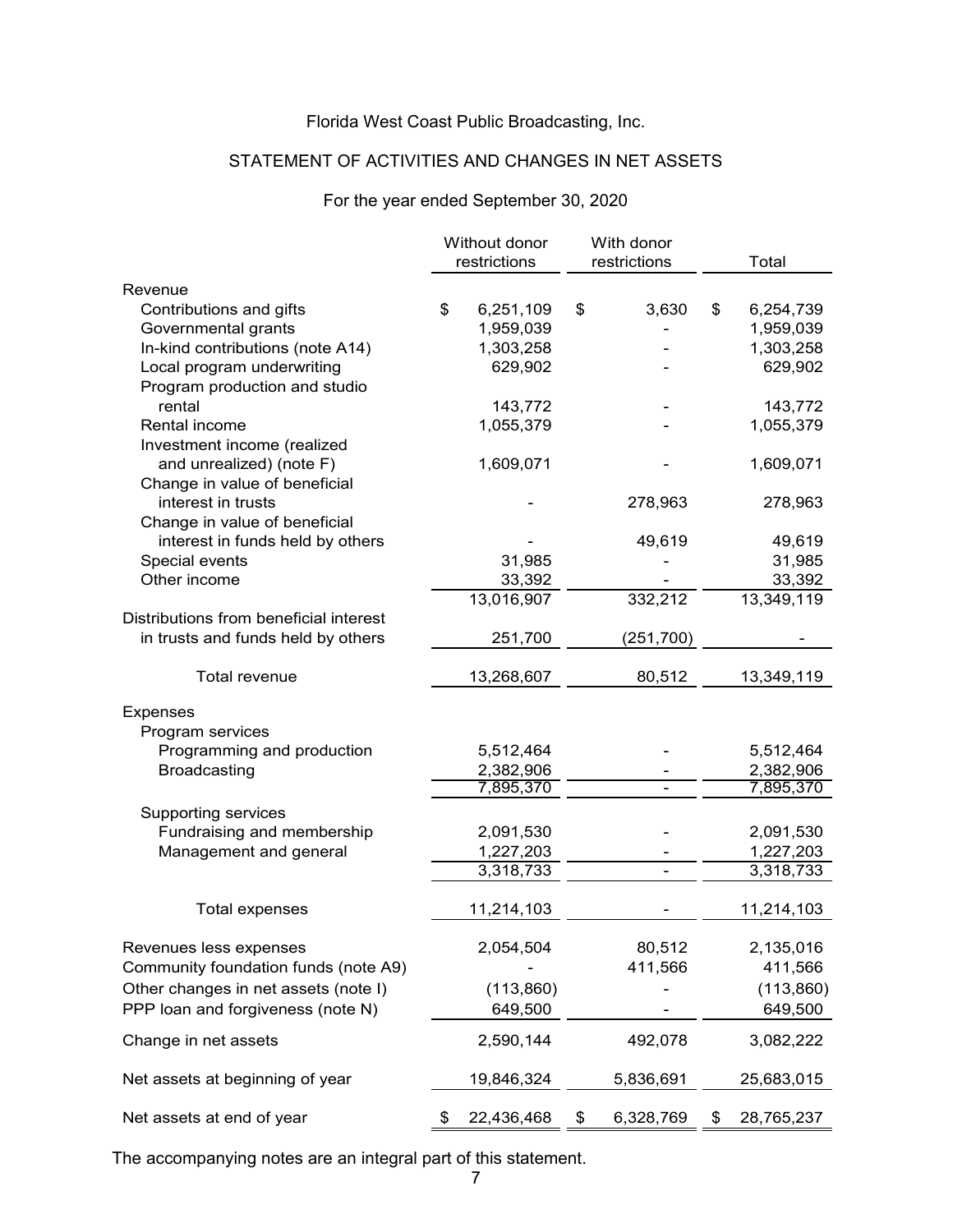# STATEMENT OF ACTIVITIES AND CHANGES IN NET ASSETS

# For the year ended September 30, 2020

|                                                   | Without donor<br>With donor<br>restrictions<br>restrictions |                        |    |            |                        |
|---------------------------------------------------|-------------------------------------------------------------|------------------------|----|------------|------------------------|
|                                                   |                                                             |                        |    |            | Total                  |
| Revenue                                           |                                                             |                        |    |            |                        |
| Contributions and gifts                           | \$                                                          | 6,251,109              | \$ | 3,630      | \$<br>6,254,739        |
| Governmental grants                               |                                                             | 1,959,039              |    |            | 1,959,039              |
| In-kind contributions (note A14)                  |                                                             | 1,303,258              |    |            | 1,303,258              |
| Local program underwriting                        |                                                             | 629,902                |    |            | 629,902                |
| Program production and studio                     |                                                             |                        |    |            |                        |
| rental                                            |                                                             | 143,772                |    |            | 143,772                |
| Rental income                                     |                                                             | 1,055,379              |    |            | 1,055,379              |
| Investment income (realized                       |                                                             |                        |    |            |                        |
| and unrealized) (note F)                          |                                                             | 1,609,071              |    |            | 1,609,071              |
| Change in value of beneficial                     |                                                             |                        |    |            |                        |
| interest in trusts                                |                                                             |                        |    | 278,963    | 278,963                |
| Change in value of beneficial                     |                                                             |                        |    |            |                        |
| interest in funds held by others                  |                                                             |                        |    | 49,619     | 49,619                 |
| Special events                                    |                                                             | 31,985                 |    |            | 31,985                 |
| Other income                                      |                                                             | 33,392                 |    |            | 33,392                 |
|                                                   |                                                             | 13,016,907             |    | 332,212    | 13,349,119             |
| Distributions from beneficial interest            |                                                             |                        |    |            |                        |
| in trusts and funds held by others                |                                                             | 251,700                |    | (251, 700) |                        |
|                                                   |                                                             |                        |    |            |                        |
| <b>Total revenue</b>                              |                                                             | 13,268,607             |    | 80,512     | 13,349,119             |
|                                                   |                                                             |                        |    |            |                        |
| Expenses                                          |                                                             |                        |    |            |                        |
| Program services                                  |                                                             |                        |    |            |                        |
| Programming and production<br><b>Broadcasting</b> |                                                             | 5,512,464              |    |            | 5,512,464              |
|                                                   |                                                             | 2,382,906<br>7,895,370 |    |            | 2,382,906<br>7,895,370 |
|                                                   |                                                             |                        |    |            |                        |
| <b>Supporting services</b>                        |                                                             |                        |    |            |                        |
| Fundraising and membership                        |                                                             | 2,091,530              |    |            | 2,091,530              |
| Management and general                            |                                                             | 1,227,203              |    |            | 1,227,203              |
|                                                   |                                                             | 3,318,733              |    | ۰          | 3,318,733              |
|                                                   |                                                             |                        |    |            |                        |
| <b>Total expenses</b>                             |                                                             | 11,214,103             |    |            | 11,214,103             |
| Revenues less expenses                            |                                                             |                        |    | 80,512     | 2,135,016              |
| Community foundation funds (note A9)              |                                                             | 2,054,504              |    | 411,566    |                        |
|                                                   |                                                             |                        |    |            | 411,566                |
| Other changes in net assets (note I)              |                                                             | (113, 860)             |    |            | (113, 860)             |
| PPP loan and forgiveness (note N)                 |                                                             | 649,500                |    |            | 649,500                |
| Change in net assets                              |                                                             | 2,590,144              |    | 492,078    | 3,082,222              |
|                                                   |                                                             |                        |    |            |                        |
| Net assets at beginning of year                   |                                                             | 19,846,324             |    | 5,836,691  | 25,683,015             |
| Net assets at end of year                         |                                                             |                        |    | 6,328,769  | 28,765,237             |
|                                                   |                                                             | 22,436,468             | \$ |            | \$                     |

The accompanying notes are an integral part of this statement.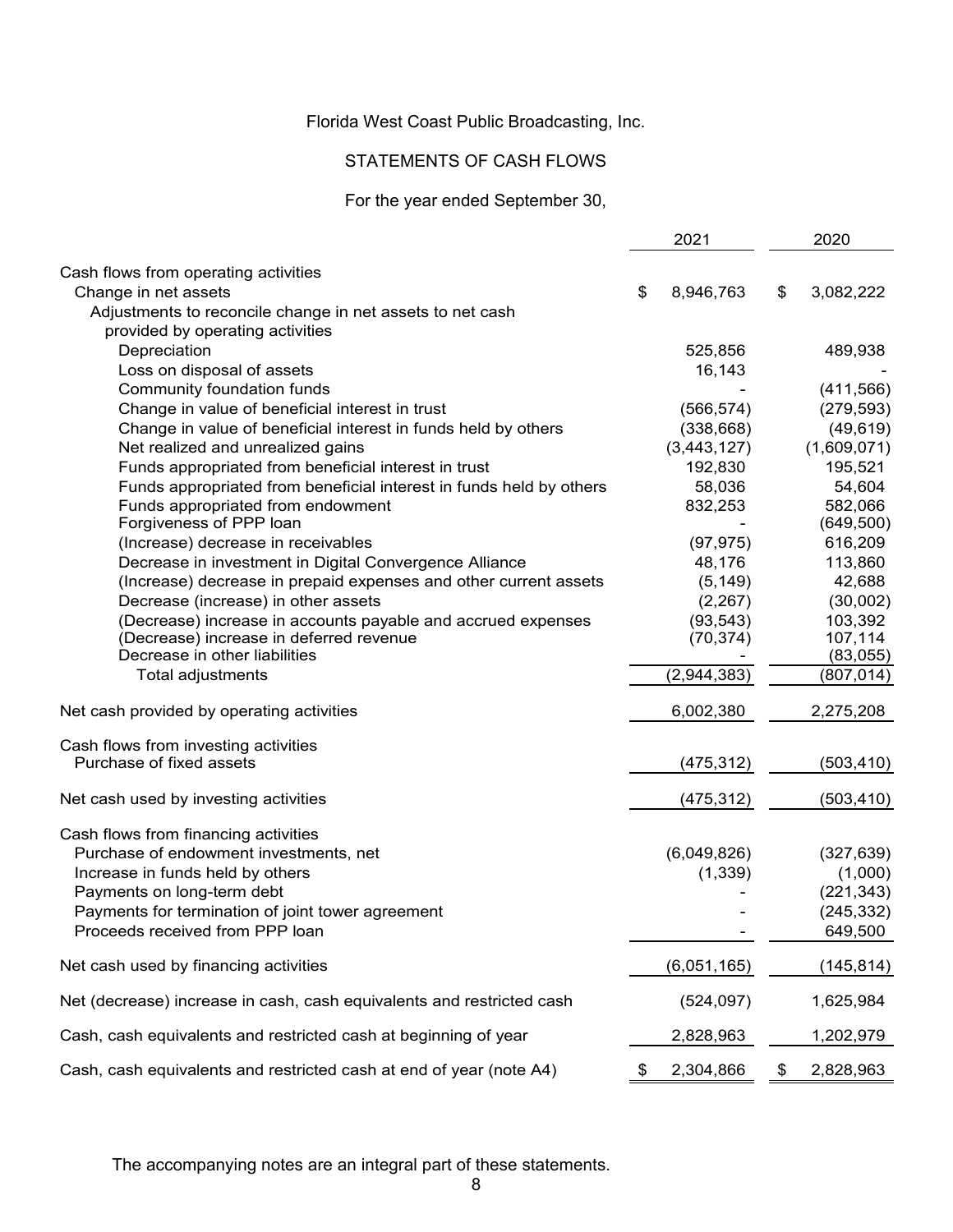# STATEMENTS OF CASH FLOWS

# For the year ended September 30,

|                                                                                | 2021 |             | 2020 |             |
|--------------------------------------------------------------------------------|------|-------------|------|-------------|
| Cash flows from operating activities                                           |      |             |      |             |
| Change in net assets                                                           | \$   | 8,946,763   | \$   | 3,082,222   |
| Adjustments to reconcile change in net assets to net cash                      |      |             |      |             |
| provided by operating activities                                               |      |             |      |             |
| Depreciation                                                                   |      | 525,856     |      | 489,938     |
| Loss on disposal of assets                                                     |      | 16,143      |      |             |
| Community foundation funds                                                     |      |             |      | (411, 566)  |
| Change in value of beneficial interest in trust                                |      | (566, 574)  |      | (279, 593)  |
| Change in value of beneficial interest in funds held by others                 |      | (338, 668)  |      | (49, 619)   |
| Net realized and unrealized gains                                              |      | (3,443,127) |      | (1,609,071) |
| Funds appropriated from beneficial interest in trust                           |      | 192,830     |      | 195,521     |
| Funds appropriated from beneficial interest in funds held by others            |      | 58,036      |      | 54,604      |
| Funds appropriated from endowment                                              |      | 832,253     |      | 582,066     |
| Forgiveness of PPP loan                                                        |      |             |      | (649, 500)  |
| (Increase) decrease in receivables                                             |      | (97, 975)   |      | 616,209     |
| Decrease in investment in Digital Convergence Alliance                         |      | 48,176      |      | 113,860     |
| (Increase) decrease in prepaid expenses and other current assets               |      | (5, 149)    |      | 42,688      |
| Decrease (increase) in other assets                                            |      | (2, 267)    |      | (30,002)    |
| (Decrease) increase in accounts payable and accrued expenses                   |      | (93, 543)   |      | 103,392     |
| (Decrease) increase in deferred revenue                                        |      | (70, 374)   |      | 107,114     |
| Decrease in other liabilities                                                  |      |             |      | (83,055)    |
| Total adjustments                                                              |      | (2,944,383) |      | (807, 014)  |
| Net cash provided by operating activities                                      |      | 6,002,380   |      | 2,275,208   |
| Cash flows from investing activities                                           |      |             |      |             |
| Purchase of fixed assets                                                       |      | (475,312)   |      | (503, 410)  |
| Net cash used by investing activities                                          |      | (475, 312)  |      | (503, 410)  |
|                                                                                |      |             |      |             |
| Cash flows from financing activities<br>Purchase of endowment investments, net |      | (6,049,826) |      | (327, 639)  |
| Increase in funds held by others                                               |      | (1, 339)    |      | (1,000)     |
| Payments on long-term debt                                                     |      |             |      | (221, 343)  |
| Payments for termination of joint tower agreement                              |      |             |      | (245, 332)  |
| Proceeds received from PPP loan                                                |      |             |      | 649,500     |
| Net cash used by financing activities                                          |      | (6,051,165) |      | (145, 814)  |
| Net (decrease) increase in cash, cash equivalents and restricted cash          |      | (524, 097)  |      | 1,625,984   |
| Cash, cash equivalents and restricted cash at beginning of year                |      | 2,828,963   |      | 1,202,979   |
| Cash, cash equivalents and restricted cash at end of year (note A4)            | \$   | 2,304,866   | \$   | 2,828,963   |

The accompanying notes are an integral part of these statements.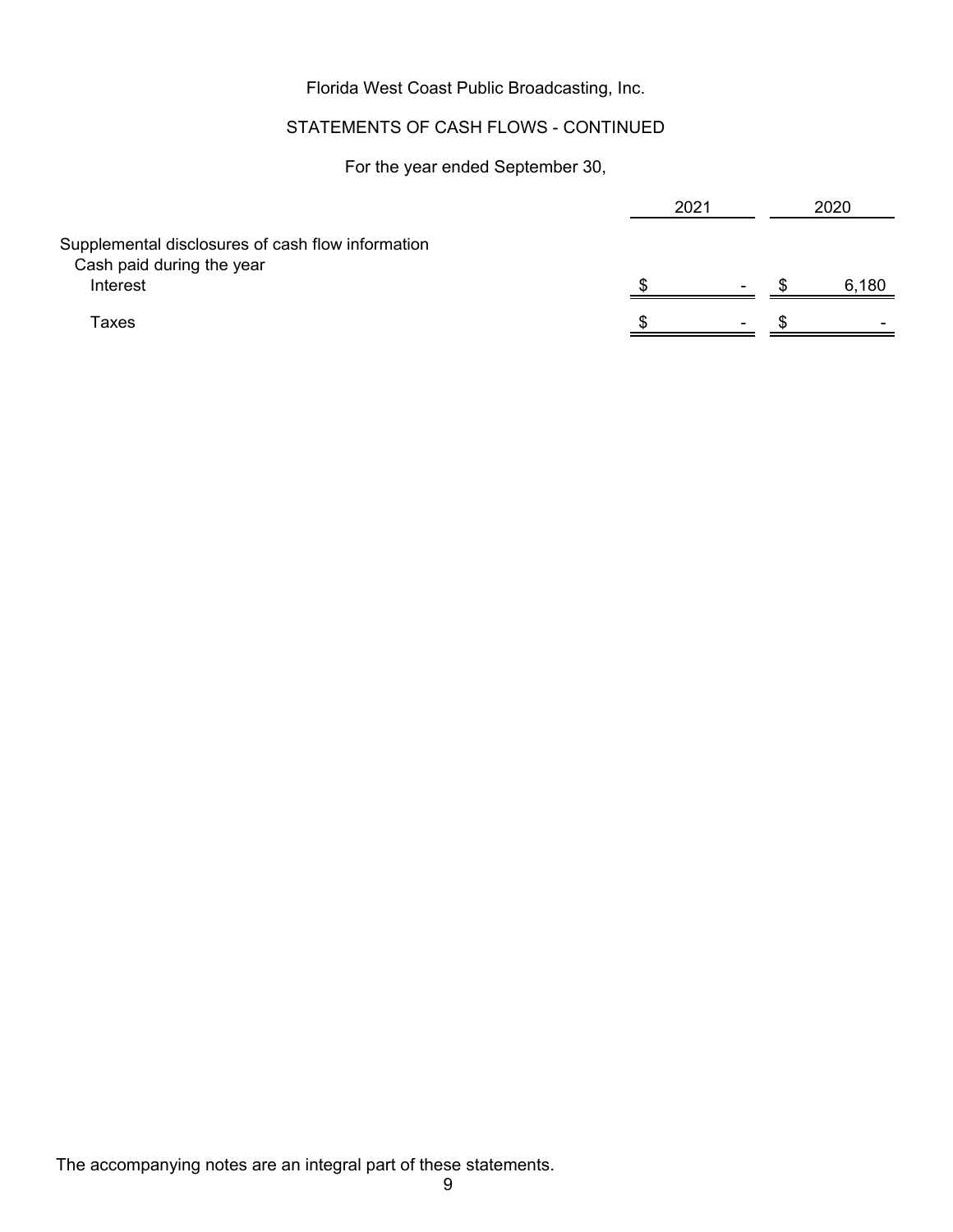# STATEMENTS OF CASH FLOWS - CONTINUED

For the year ended September 30,

|                                                   | 2021 |      | 2020  |
|---------------------------------------------------|------|------|-------|
| Supplemental disclosures of cash flow information |      |      |       |
| Cash paid during the year                         |      |      |       |
| Interest                                          |      | $\,$ | 6,180 |
| Taxes                                             |      | $\,$ | ٠     |
|                                                   |      |      |       |

The accompanying notes are an integral part of these statements.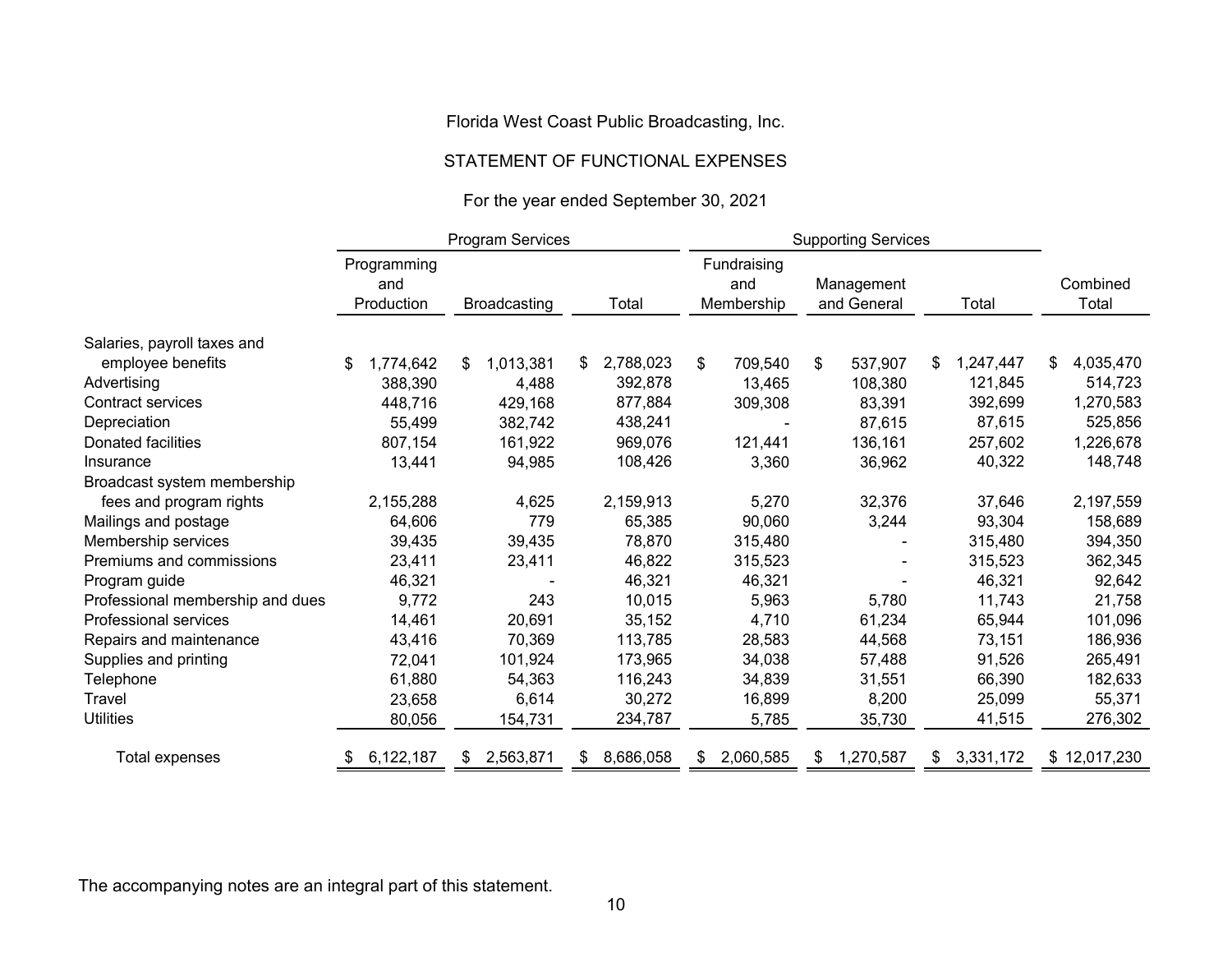#### STATEMENT OF FUNCTIONAL EXPENSES

# For the year ended September 30, 2021

|                                  |                                  | Program Services    |                 | <b>Supporting Services</b>       |                           |                 |                   |
|----------------------------------|----------------------------------|---------------------|-----------------|----------------------------------|---------------------------|-----------------|-------------------|
|                                  | Programming<br>and<br>Production | <b>Broadcasting</b> | Total           | Fundraising<br>and<br>Membership | Management<br>and General | Total           | Combined<br>Total |
| Salaries, payroll taxes and      |                                  |                     |                 |                                  |                           |                 |                   |
| employee benefits                | 1,774,642<br>\$                  | 1,013,381<br>\$     | 2,788,023<br>\$ | \$<br>709,540                    | \$<br>537,907             | 1,247,447<br>\$ | 4,035,470<br>\$   |
| Advertising                      | 388,390                          | 4,488               | 392,878         | 13,465                           | 108,380                   | 121,845         | 514,723           |
| <b>Contract services</b>         | 448,716                          | 429,168             | 877,884         | 309,308                          | 83,391                    | 392,699         | 1,270,583         |
| Depreciation                     | 55,499                           | 382,742             | 438,241         |                                  | 87,615                    | 87,615          | 525,856           |
| Donated facilities               | 807,154                          | 161,922             | 969,076         | 121,441                          | 136,161                   | 257,602         | 1,226,678         |
| Insurance                        | 13,441                           | 94,985              | 108,426         | 3,360                            | 36,962                    | 40,322          | 148,748           |
| Broadcast system membership      |                                  |                     |                 |                                  |                           |                 |                   |
| fees and program rights          | 2,155,288                        | 4,625               | 2,159,913       | 5,270                            | 32,376                    | 37,646          | 2,197,559         |
| Mailings and postage             | 64,606                           | 779                 | 65,385          | 90,060                           | 3,244                     | 93,304          | 158,689           |
| Membership services              | 39,435                           | 39,435              | 78,870          | 315,480                          |                           | 315,480         | 394,350           |
| Premiums and commissions         | 23,411                           | 23,411              | 46,822          | 315,523                          |                           | 315,523         | 362,345           |
| Program guide                    | 46,321                           |                     | 46,321          | 46,321                           |                           | 46,321          | 92,642            |
| Professional membership and dues | 9,772                            | 243                 | 10,015          | 5,963                            | 5,780                     | 11,743          | 21,758            |
| Professional services            | 14,461                           | 20,691              | 35,152          | 4,710                            | 61,234                    | 65,944          | 101,096           |
| Repairs and maintenance          | 43,416                           | 70,369              | 113,785         | 28,583                           | 44,568                    | 73,151          | 186,936           |
| Supplies and printing            | 72,041                           | 101,924             | 173,965         | 34,038                           | 57,488                    | 91,526          | 265,491           |
| Telephone                        | 61,880                           | 54,363              | 116,243         | 34,839                           | 31,551                    | 66,390          | 182,633           |
| Travel                           | 23,658                           | 6,614               | 30,272          | 16,899                           | 8,200                     | 25,099          | 55,371            |
| <b>Utilities</b>                 | 80,056                           | 154,731             | 234,787         | 5,785                            | 35,730                    | 41,515          | 276,302           |
| Total expenses                   | 6,122,187                        | 2,563,871           | 8,686,058       | 2,060,585<br>S                   | 1,270,587                 | 3,331,172<br>\$ | \$12,017,230      |

The accompanying notes are an integral part of this statement.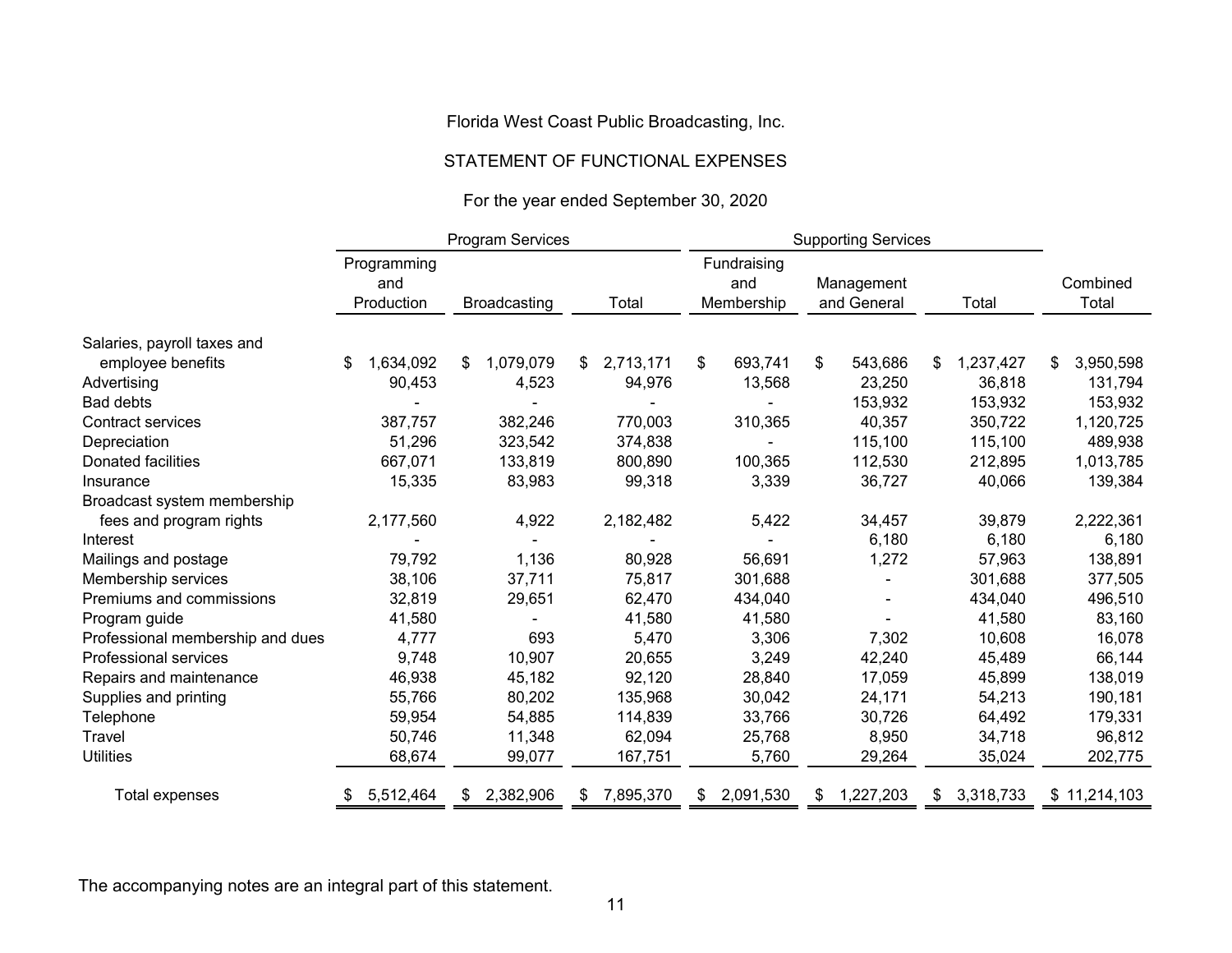#### STATEMENT OF FUNCTIONAL EXPENSES

# For the year ended September 30, 2020

|                                  |                                  | Program Services    |           | <b>Supporting Services</b>       |                           |                 |                   |
|----------------------------------|----------------------------------|---------------------|-----------|----------------------------------|---------------------------|-----------------|-------------------|
|                                  | Programming<br>and<br>Production | <b>Broadcasting</b> | Total     | Fundraising<br>and<br>Membership | Management<br>and General | Total           | Combined<br>Total |
| Salaries, payroll taxes and      |                                  |                     |           |                                  |                           |                 |                   |
| employee benefits                | \$<br>1,634,092                  | 1,079,079<br>\$.    | 2,713,171 | \$<br>693,741                    | \$<br>543,686             | 1,237,427<br>\$ | 3,950,598<br>\$   |
| Advertising                      | 90,453                           | 4,523               | 94,976    | 13,568                           | 23,250                    | 36,818          | 131,794           |
| <b>Bad debts</b>                 |                                  |                     |           |                                  | 153,932                   | 153,932         | 153,932           |
| <b>Contract services</b>         | 387,757                          | 382,246             | 770,003   | 310,365                          | 40,357                    | 350,722         | 1,120,725         |
| Depreciation                     | 51,296                           | 323,542             | 374,838   |                                  | 115,100                   | 115,100         | 489,938           |
| Donated facilities               | 667,071                          | 133,819             | 800,890   | 100,365                          | 112,530                   | 212,895         | 1,013,785         |
| Insurance                        | 15,335                           | 83,983              | 99,318    | 3,339                            | 36,727                    | 40,066          | 139,384           |
| Broadcast system membership      |                                  |                     |           |                                  |                           |                 |                   |
| fees and program rights          | 2,177,560                        | 4,922               | 2,182,482 | 5,422                            | 34,457                    | 39,879          | 2,222,361         |
| Interest                         |                                  |                     |           |                                  | 6,180                     | 6,180           | 6,180             |
| Mailings and postage             | 79,792                           | 1,136               | 80,928    | 56,691                           | 1,272                     | 57,963          | 138,891           |
| Membership services              | 38,106                           | 37,711              | 75,817    | 301,688                          |                           | 301,688         | 377,505           |
| Premiums and commissions         | 32,819                           | 29,651              | 62,470    | 434,040                          |                           | 434,040         | 496,510           |
| Program guide                    | 41,580                           |                     | 41,580    | 41,580                           |                           | 41,580          | 83,160            |
| Professional membership and dues | 4,777                            | 693                 | 5,470     | 3,306                            | 7,302                     | 10,608          | 16,078            |
| Professional services            | 9,748                            | 10,907              | 20,655    | 3,249                            | 42,240                    | 45,489          | 66,144            |
| Repairs and maintenance          | 46,938                           | 45,182              | 92,120    | 28,840                           | 17,059                    | 45,899          | 138,019           |
| Supplies and printing            | 55,766                           | 80,202              | 135,968   | 30,042                           | 24,171                    | 54,213          | 190,181           |
| Telephone                        | 59,954                           | 54,885              | 114,839   | 33,766                           | 30,726                    | 64,492          | 179,331           |
| Travel                           | 50,746                           | 11,348              | 62,094    | 25,768                           | 8,950                     | 34,718          | 96,812            |
| <b>Utilities</b>                 | 68,674                           | 99,077              | 167,751   | 5,760                            | 29,264                    | 35,024          | 202,775           |
| Total expenses                   | 5,512,464                        | 2,382,906<br>S.     | 7,895,370 | 2,091,530                        | 1,227,203<br>S.           | 3,318,733<br>\$ | \$11,214,103      |

The accompanying notes are an integral part of this statement.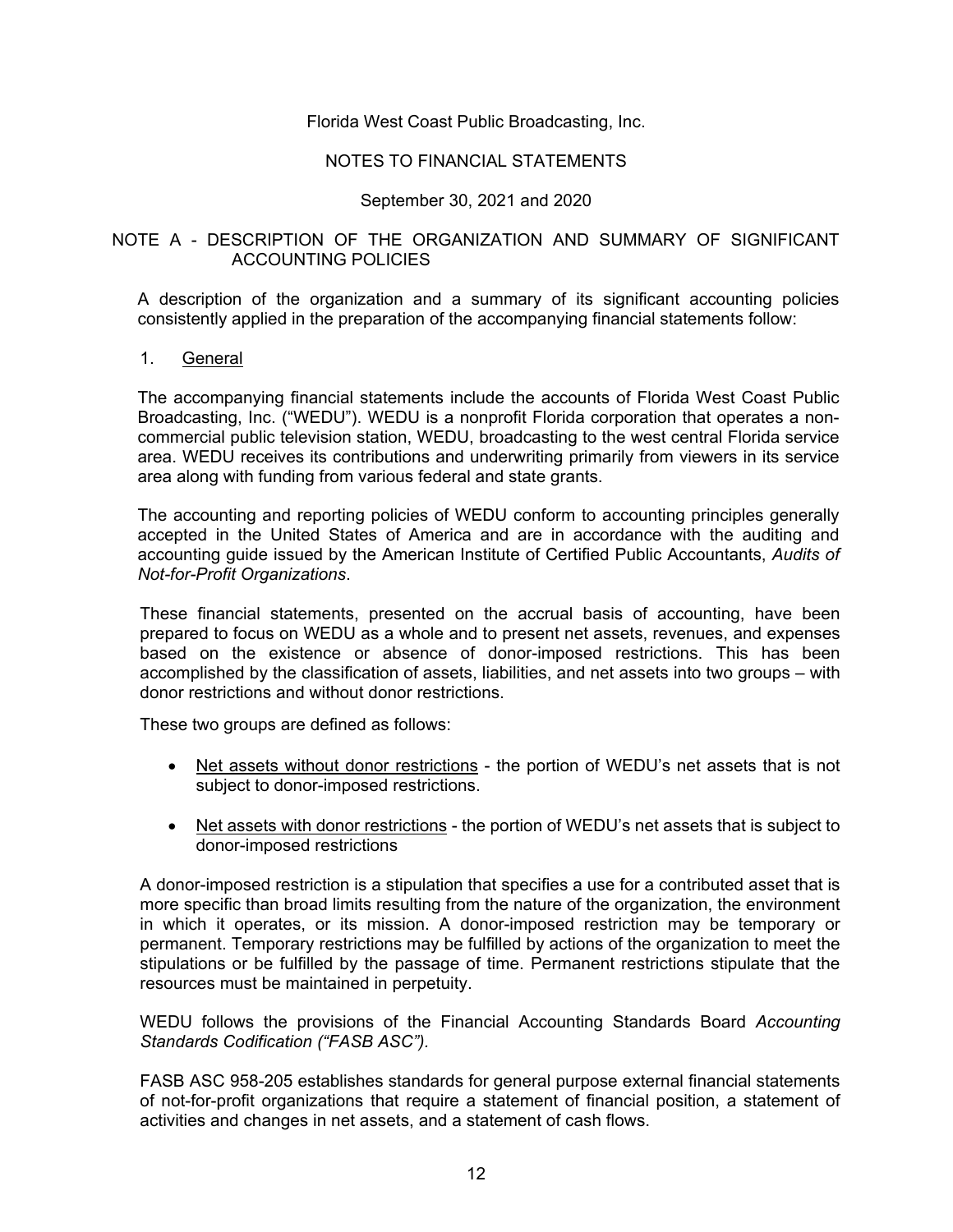# NOTES TO FINANCIAL STATEMENTS

# September 30, 2021 and 2020

# NOTE A - DESCRIPTION OF THE ORGANIZATION AND SUMMARY OF SIGNIFICANT ACCOUNTING POLICIES

A description of the organization and a summary of its significant accounting policies consistently applied in the preparation of the accompanying financial statements follow:

#### 1. General

The accompanying financial statements include the accounts of Florida West Coast Public Broadcasting, Inc. ("WEDU"). WEDU is a nonprofit Florida corporation that operates a noncommercial public television station, WEDU, broadcasting to the west central Florida service area. WEDU receives its contributions and underwriting primarily from viewers in its service area along with funding from various federal and state grants.

The accounting and reporting policies of WEDU conform to accounting principles generally accepted in the United States of America and are in accordance with the auditing and accounting guide issued by the American Institute of Certified Public Accountants, *Audits of Not-for-Profit Organizations*.

These financial statements, presented on the accrual basis of accounting, have been prepared to focus on WEDU as a whole and to present net assets, revenues, and expenses based on the existence or absence of donor-imposed restrictions. This has been accomplished by the classification of assets, liabilities, and net assets into two groups – with donor restrictions and without donor restrictions.

These two groups are defined as follows:

- Net assets without donor restrictions the portion of WEDU's net assets that is not subject to donor-imposed restrictions.
- Net assets with donor restrictions the portion of WEDU's net assets that is subject to donor-imposed restrictions

A donor-imposed restriction is a stipulation that specifies a use for a contributed asset that is more specific than broad limits resulting from the nature of the organization, the environment in which it operates, or its mission. A donor-imposed restriction may be temporary or permanent. Temporary restrictions may be fulfilled by actions of the organization to meet the stipulations or be fulfilled by the passage of time. Permanent restrictions stipulate that the resources must be maintained in perpetuity.

WEDU follows the provisions of the Financial Accounting Standards Board *Accounting Standards Codification ("FASB ASC").*

FASB ASC 958-205 establishes standards for general purpose external financial statements of not-for-profit organizations that require a statement of financial position, a statement of activities and changes in net assets, and a statement of cash flows.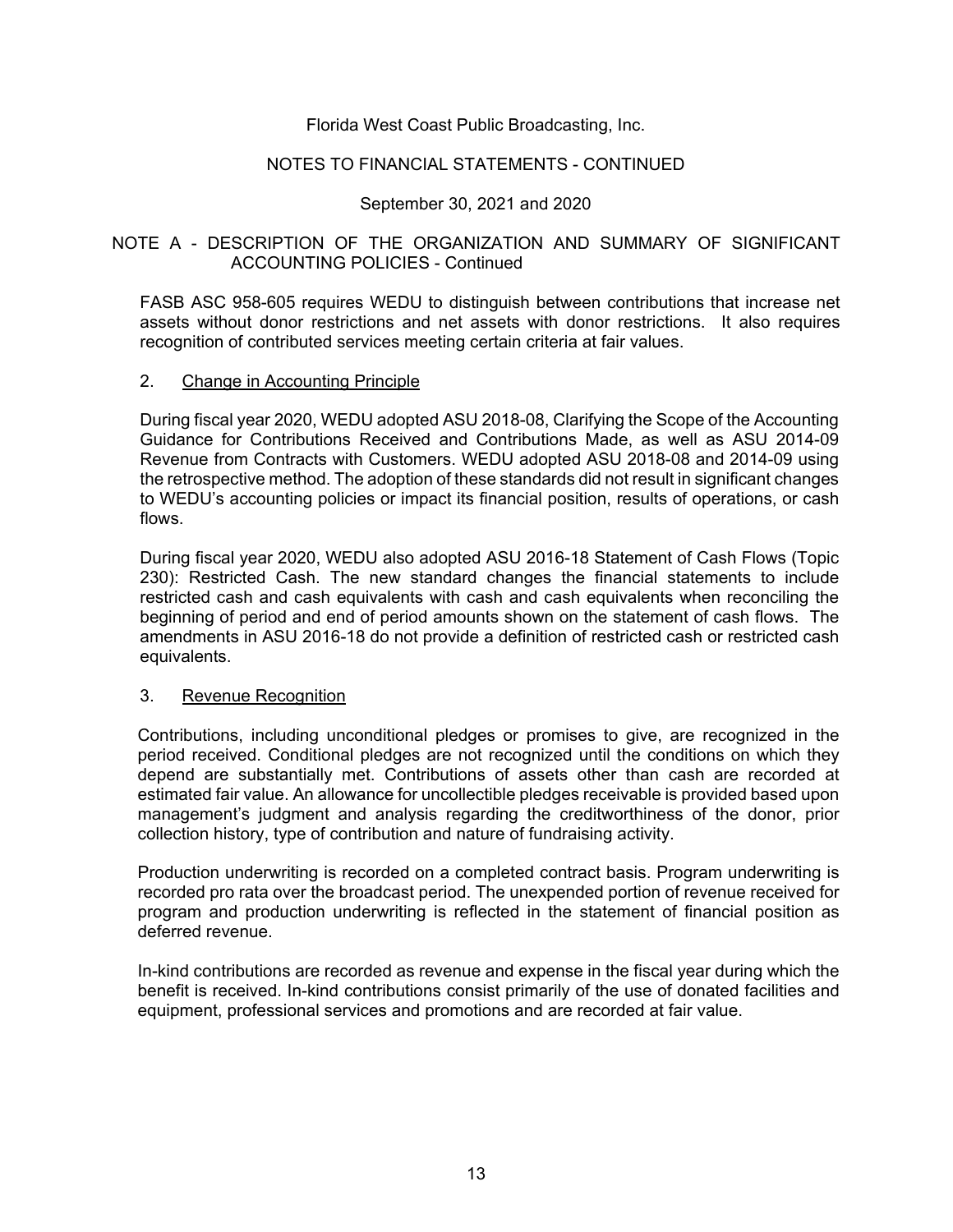# NOTES TO FINANCIAL STATEMENTS - CONTINUED

# September 30, 2021 and 2020

# NOTE A - DESCRIPTION OF THE ORGANIZATION AND SUMMARY OF SIGNIFICANT ACCOUNTING POLICIES - Continued

FASB ASC 958-605 requires WEDU to distinguish between contributions that increase net assets without donor restrictions and net assets with donor restrictions. It also requires recognition of contributed services meeting certain criteria at fair values.

#### 2. Change in Accounting Principle

During fiscal year 2020, WEDU adopted ASU 2018-08, Clarifying the Scope of the Accounting Guidance for Contributions Received and Contributions Made, as well as ASU 2014-09 Revenue from Contracts with Customers. WEDU adopted ASU 2018-08 and 2014-09 using the retrospective method. The adoption of these standards did not result in significant changes to WEDU's accounting policies or impact its financial position, results of operations, or cash flows.

During fiscal year 2020, WEDU also adopted ASU 2016-18 Statement of Cash Flows (Topic 230): Restricted Cash. The new standard changes the financial statements to include restricted cash and cash equivalents with cash and cash equivalents when reconciling the beginning of period and end of period amounts shown on the statement of cash flows. The amendments in ASU 2016-18 do not provide a definition of restricted cash or restricted cash equivalents.

#### 3. Revenue Recognition

Contributions, including unconditional pledges or promises to give, are recognized in the period received. Conditional pledges are not recognized until the conditions on which they depend are substantially met. Contributions of assets other than cash are recorded at estimated fair value. An allowance for uncollectible pledges receivable is provided based upon management's judgment and analysis regarding the creditworthiness of the donor, prior collection history, type of contribution and nature of fundraising activity.

Production underwriting is recorded on a completed contract basis. Program underwriting is recorded pro rata over the broadcast period. The unexpended portion of revenue received for program and production underwriting is reflected in the statement of financial position as deferred revenue.

In-kind contributions are recorded as revenue and expense in the fiscal year during which the benefit is received. In-kind contributions consist primarily of the use of donated facilities and equipment, professional services and promotions and are recorded at fair value.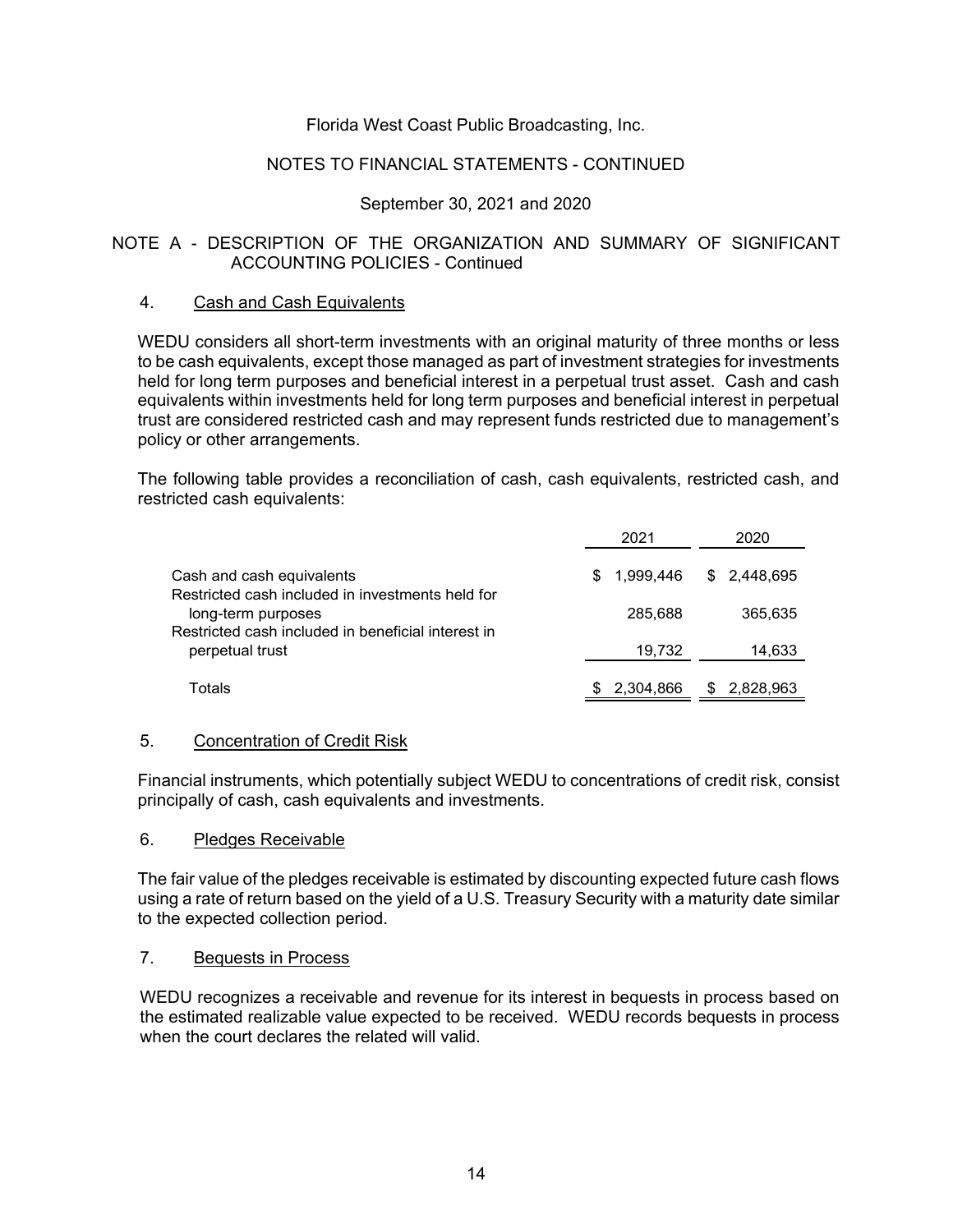### NOTES TO FINANCIAL STATEMENTS - CONTINUED

# September 30, 2021 and 2020

### NOTE A - DESCRIPTION OF THE ORGANIZATION AND SUMMARY OF SIGNIFICANT ACCOUNTING POLICIES - Continued

#### 4. Cash and Cash Equivalents

WEDU considers all short-term investments with an original maturity of three months or less to be cash equivalents, except those managed as part of investment strategies for investments held for long term purposes and beneficial interest in a perpetual trust asset. Cash and cash equivalents within investments held for long term purposes and beneficial interest in perpetual trust are considered restricted cash and may represent funds restricted due to management's policy or other arrangements.

The following table provides a reconciliation of cash, cash equivalents, restricted cash, and restricted cash equivalents:

|                                                                                                                              | 2021             | 2020             |
|------------------------------------------------------------------------------------------------------------------------------|------------------|------------------|
| Cash and cash equivalents                                                                                                    | 1.999.446<br>S.  | \$2,448,695      |
| Restricted cash included in investments held for<br>long-term purposes<br>Restricted cash included in beneficial interest in | 285.688          | 365.635          |
| perpetual trust                                                                                                              | 19,732           | 14,633           |
| Totals                                                                                                                       | 2.304.866<br>SS. | 2,828,963<br>\$. |

#### 5. Concentration of Credit Risk

Financial instruments, which potentially subject WEDU to concentrations of credit risk, consist principally of cash, cash equivalents and investments.

#### 6. Pledges Receivable

The fair value of the pledges receivable is estimated by discounting expected future cash flows using a rate of return based on the yield of a U.S. Treasury Security with a maturity date similar to the expected collection period.

### 7. Bequests in Process

WEDU recognizes a receivable and revenue for its interest in bequests in process based on the estimated realizable value expected to be received. WEDU records bequests in process when the court declares the related will valid.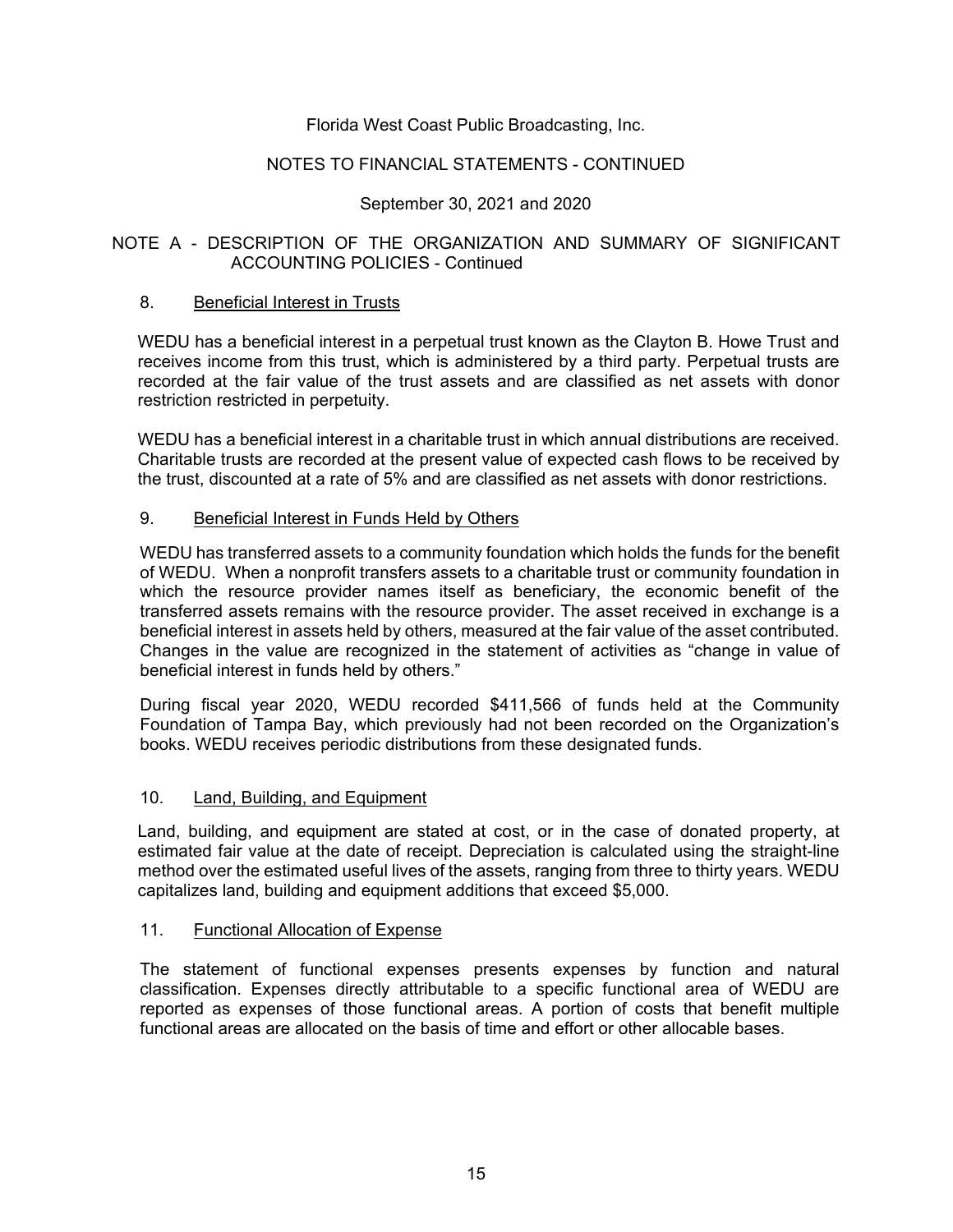# NOTES TO FINANCIAL STATEMENTS - CONTINUED

# September 30, 2021 and 2020

# NOTE A - DESCRIPTION OF THE ORGANIZATION AND SUMMARY OF SIGNIFICANT ACCOUNTING POLICIES - Continued

#### 8. Beneficial Interest in Trusts

WEDU has a beneficial interest in a perpetual trust known as the Clayton B. Howe Trust and receives income from this trust, which is administered by a third party. Perpetual trusts are recorded at the fair value of the trust assets and are classified as net assets with donor restriction restricted in perpetuity.

WEDU has a beneficial interest in a charitable trust in which annual distributions are received. Charitable trusts are recorded at the present value of expected cash flows to be received by the trust, discounted at a rate of 5% and are classified as net assets with donor restrictions.

# 9. Beneficial Interest in Funds Held by Others

WEDU has transferred assets to a community foundation which holds the funds for the benefit of WEDU. When a nonprofit transfers assets to a charitable trust or community foundation in which the resource provider names itself as beneficiary, the economic benefit of the transferred assets remains with the resource provider. The asset received in exchange is a beneficial interest in assets held by others, measured at the fair value of the asset contributed. Changes in the value are recognized in the statement of activities as "change in value of beneficial interest in funds held by others."

During fiscal year 2020, WEDU recorded \$411,566 of funds held at the Community Foundation of Tampa Bay, which previously had not been recorded on the Organization's books. WEDU receives periodic distributions from these designated funds.

#### 10. Land, Building, and Equipment

Land, building, and equipment are stated at cost, or in the case of donated property, at estimated fair value at the date of receipt. Depreciation is calculated using the straight-line method over the estimated useful lives of the assets, ranging from three to thirty years. WEDU capitalizes land, building and equipment additions that exceed \$5,000.

#### 11. Functional Allocation of Expense

The statement of functional expenses presents expenses by function and natural classification. Expenses directly attributable to a specific functional area of WEDU are reported as expenses of those functional areas. A portion of costs that benefit multiple functional areas are allocated on the basis of time and effort or other allocable bases.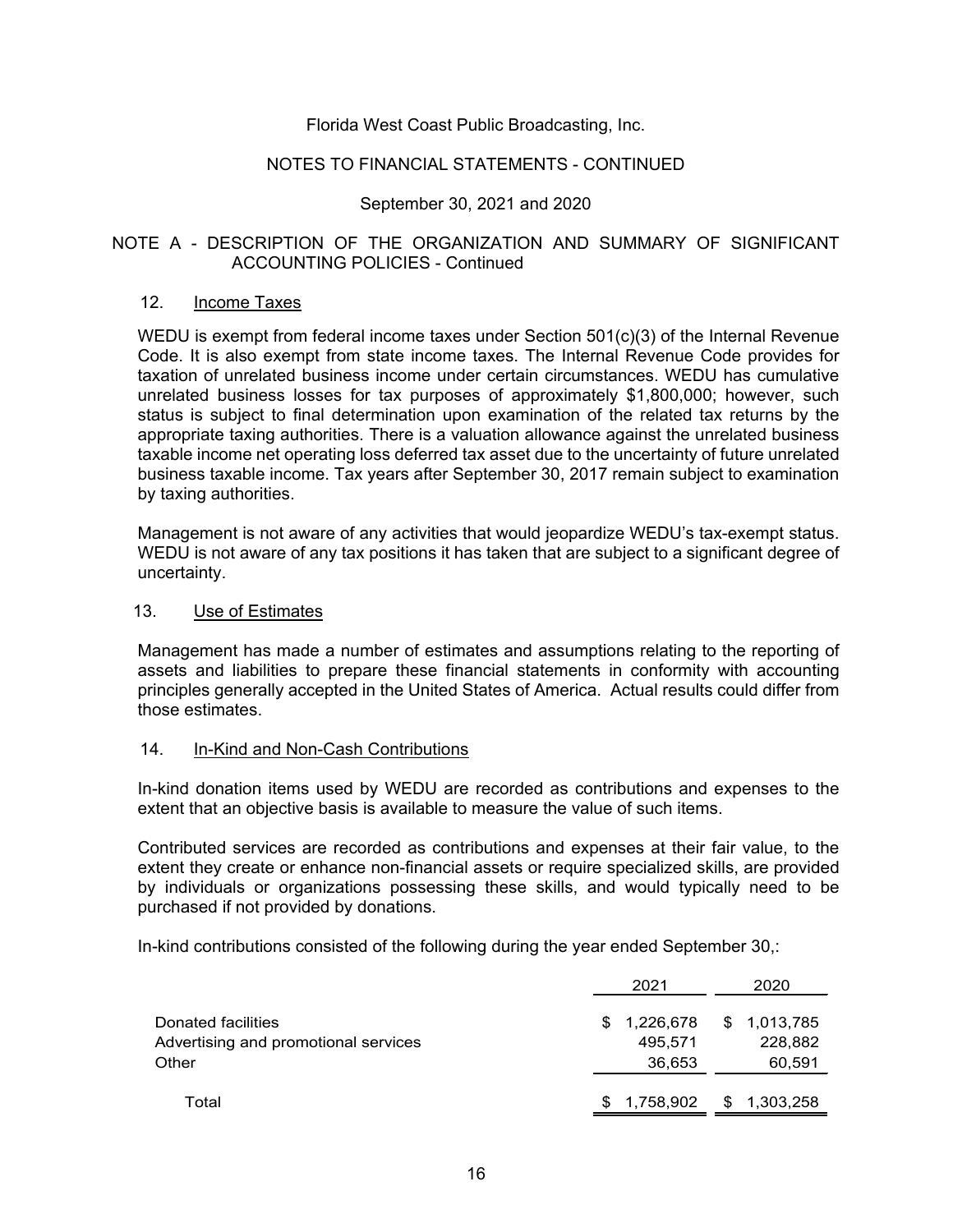### NOTES TO FINANCIAL STATEMENTS - CONTINUED

# September 30, 2021 and 2020

# NOTE A - DESCRIPTION OF THE ORGANIZATION AND SUMMARY OF SIGNIFICANT ACCOUNTING POLICIES - Continued

### 12. Income Taxes

WEDU is exempt from federal income taxes under Section 501(c)(3) of the Internal Revenue Code. It is also exempt from state income taxes. The Internal Revenue Code provides for taxation of unrelated business income under certain circumstances. WEDU has cumulative unrelated business losses for tax purposes of approximately \$1,800,000; however, such status is subject to final determination upon examination of the related tax returns by the appropriate taxing authorities. There is a valuation allowance against the unrelated business taxable income net operating loss deferred tax asset due to the uncertainty of future unrelated business taxable income. Tax years after September 30, 2017 remain subject to examination by taxing authorities.

Management is not aware of any activities that would jeopardize WEDU's tax-exempt status. WEDU is not aware of any tax positions it has taken that are subject to a significant degree of uncertainty.

#### 13. Use of Estimates

Management has made a number of estimates and assumptions relating to the reporting of assets and liabilities to prepare these financial statements in conformity with accounting principles generally accepted in the United States of America. Actual results could differ from those estimates.

#### 14. In-Kind and Non-Cash Contributions

In-kind donation items used by WEDU are recorded as contributions and expenses to the extent that an objective basis is available to measure the value of such items.

Contributed services are recorded as contributions and expenses at their fair value, to the extent they create or enhance non-financial assets or require specialized skills, are provided by individuals or organizations possessing these skills, and would typically need to be purchased if not provided by donations.

In-kind contributions consisted of the following during the year ended September 30,:

|                                                                     |     | 2021                           | 2020                              |
|---------------------------------------------------------------------|-----|--------------------------------|-----------------------------------|
| Donated facilities<br>Advertising and promotional services<br>Other | \$. | 1,226,678<br>495.571<br>36,653 | \$ 1,013,785<br>228,882<br>60,591 |
| Total                                                               |     | 1,758,902                      | \$<br>1,303,258                   |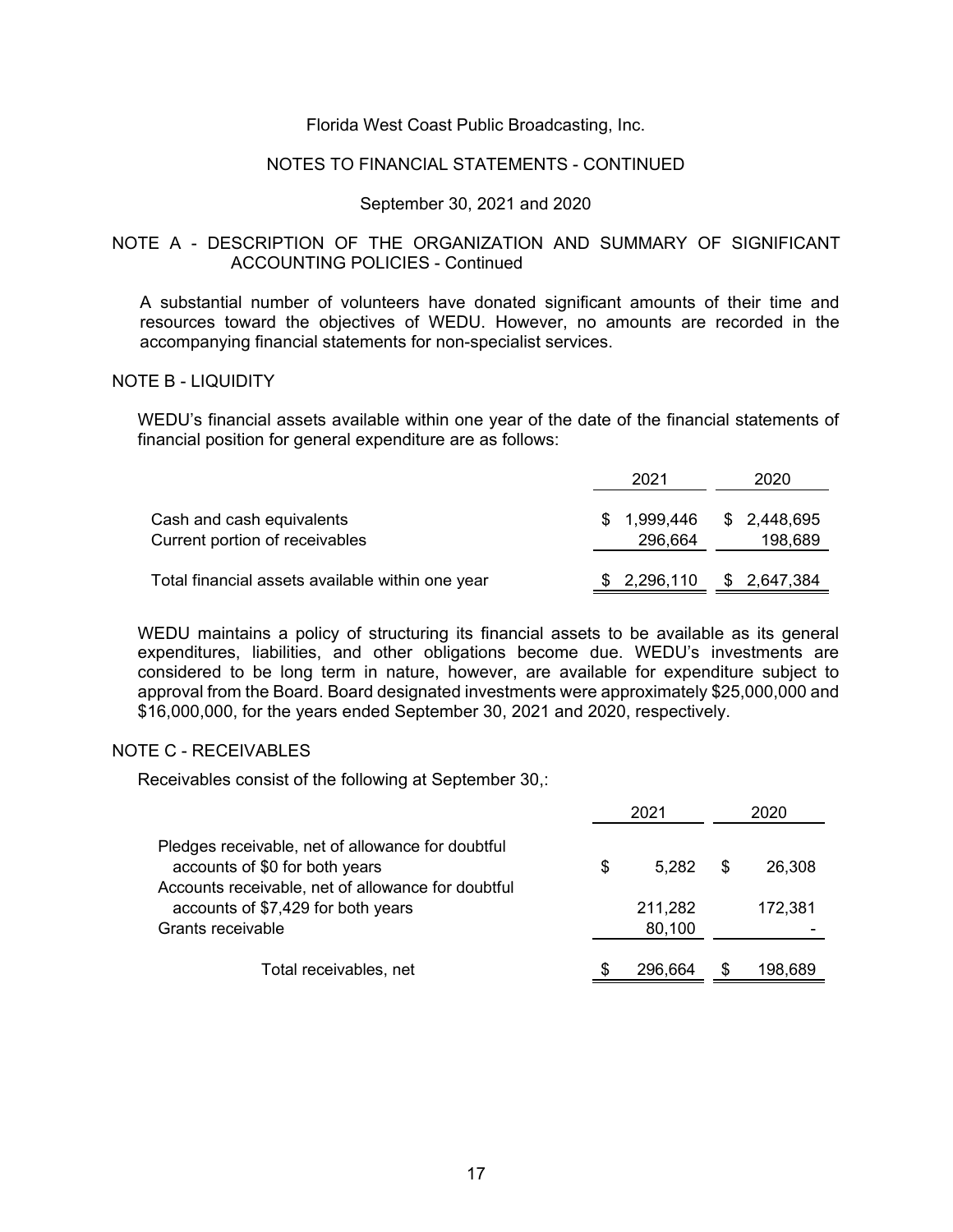#### NOTES TO FINANCIAL STATEMENTS - CONTINUED

#### September 30, 2021 and 2020

#### NOTE A - DESCRIPTION OF THE ORGANIZATION AND SUMMARY OF SIGNIFICANT ACCOUNTING POLICIES - Continued

A substantial number of volunteers have donated significant amounts of their time and resources toward the objectives of WEDU. However, no amounts are recorded in the accompanying financial statements for non-specialist services.

#### NOTE B - LIQUIDITY

WEDU's financial assets available within one year of the date of the financial statements of financial position for general expenditure are as follows:

|                                                             | 2021           | 2020                              |
|-------------------------------------------------------------|----------------|-----------------------------------|
| Cash and cash equivalents<br>Current portion of receivables | SS.<br>296,664 | 1,999,446 \$ 2,448,695<br>198.689 |
| Total financial assets available within one year            | \$2,296,110    | \$ 2,647,384                      |

WEDU maintains a policy of structuring its financial assets to be available as its general expenditures, liabilities, and other obligations become due. WEDU's investments are considered to be long term in nature, however, are available for expenditure subject to approval from the Board. Board designated investments were approximately \$25,000,000 and \$16,000,000, for the years ended September 30, 2021 and 2020, respectively.

#### NOTE C - RECEIVABLES

Receivables consist of the following at September 30,:

|                                                                                          |    | 2021       | 2020 |         |
|------------------------------------------------------------------------------------------|----|------------|------|---------|
| Pledges receivable, net of allowance for doubtful<br>accounts of \$0 for both years      | \$ | $5.282$ \$ |      | 26,308  |
| Accounts receivable, net of allowance for doubtful<br>accounts of \$7,429 for both years |    | 211,282    |      | 172,381 |
| Grants receivable                                                                        |    | 80,100     |      |         |
| Total receivables, net                                                                   | S  | 296.664    |      | 198,689 |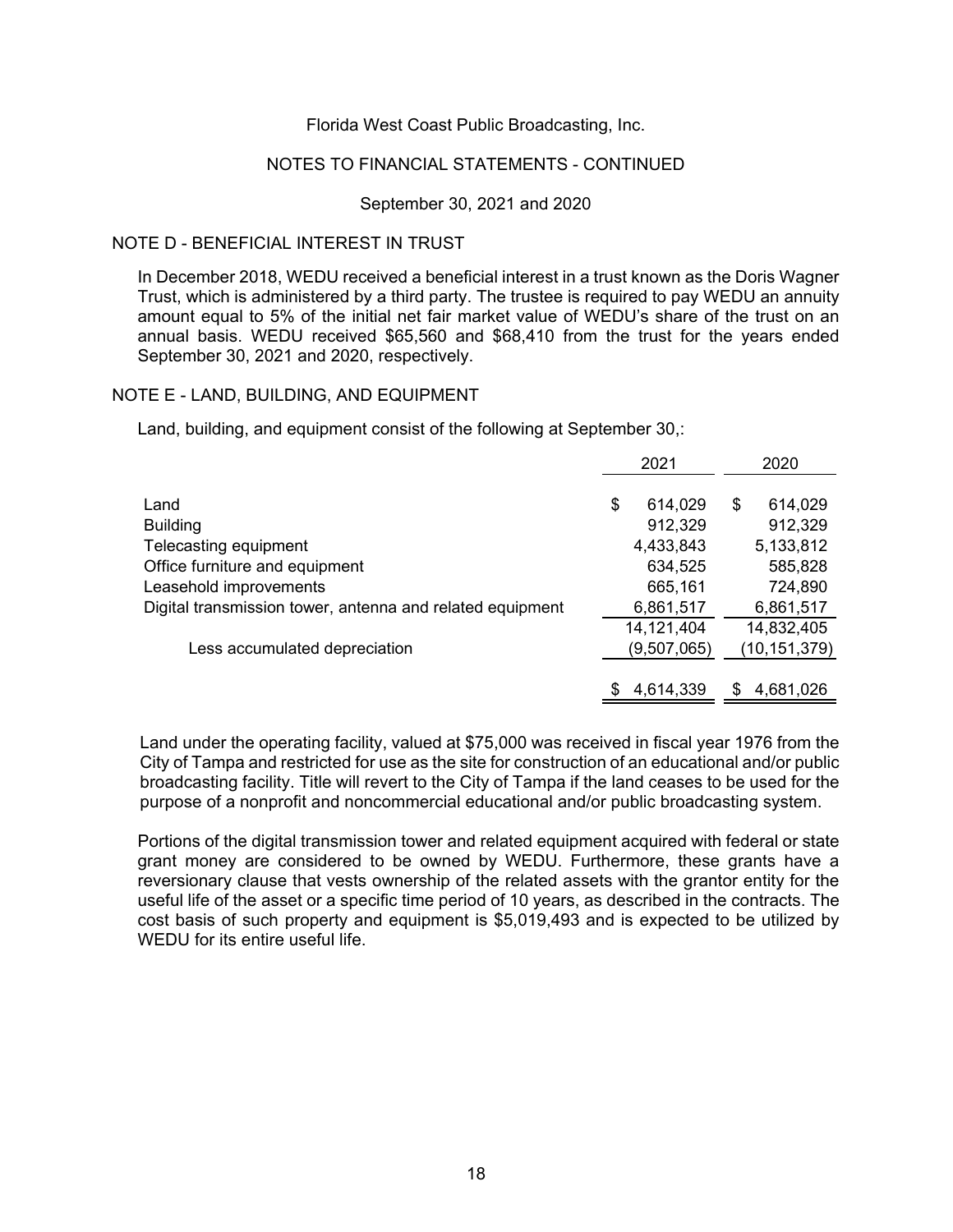#### NOTES TO FINANCIAL STATEMENTS - CONTINUED

#### September 30, 2021 and 2020

#### NOTE D - BENEFICIAL INTEREST IN TRUST

In December 2018, WEDU received a beneficial interest in a trust known as the Doris Wagner Trust, which is administered by a third party. The trustee is required to pay WEDU an annuity amount equal to 5% of the initial net fair market value of WEDU's share of the trust on an annual basis. WEDU received \$65,560 and \$68,410 from the trust for the years ended September 30, 2021 and 2020, respectively.

#### NOTE E - LAND, BUILDING, AND EQUIPMENT

Land, building, and equipment consist of the following at September 30,:

|                                                           | 2021          | 2020           |
|-----------------------------------------------------------|---------------|----------------|
|                                                           |               |                |
| Land                                                      | \$<br>614,029 | \$<br>614,029  |
| <b>Building</b>                                           | 912,329       | 912,329        |
| Telecasting equipment                                     | 4,433,843     | 5,133,812      |
| Office furniture and equipment                            | 634,525       | 585,828        |
| Leasehold improvements                                    | 665,161       | 724,890        |
| Digital transmission tower, antenna and related equipment | 6,861,517     | 6,861,517      |
|                                                           | 14, 121, 404  | 14,832,405     |
| Less accumulated depreciation                             | (9,507,065)   | (10, 151, 379) |
|                                                           |               |                |
|                                                           | 4,614,339     | 4,681,026      |

Land under the operating facility, valued at \$75,000 was received in fiscal year 1976 from the City of Tampa and restricted for use as the site for construction of an educational and/or public broadcasting facility. Title will revert to the City of Tampa if the land ceases to be used for the purpose of a nonprofit and noncommercial educational and/or public broadcasting system.

Portions of the digital transmission tower and related equipment acquired with federal or state grant money are considered to be owned by WEDU. Furthermore, these grants have a reversionary clause that vests ownership of the related assets with the grantor entity for the useful life of the asset or a specific time period of 10 years, as described in the contracts. The cost basis of such property and equipment is \$5,019,493 and is expected to be utilized by WEDU for its entire useful life.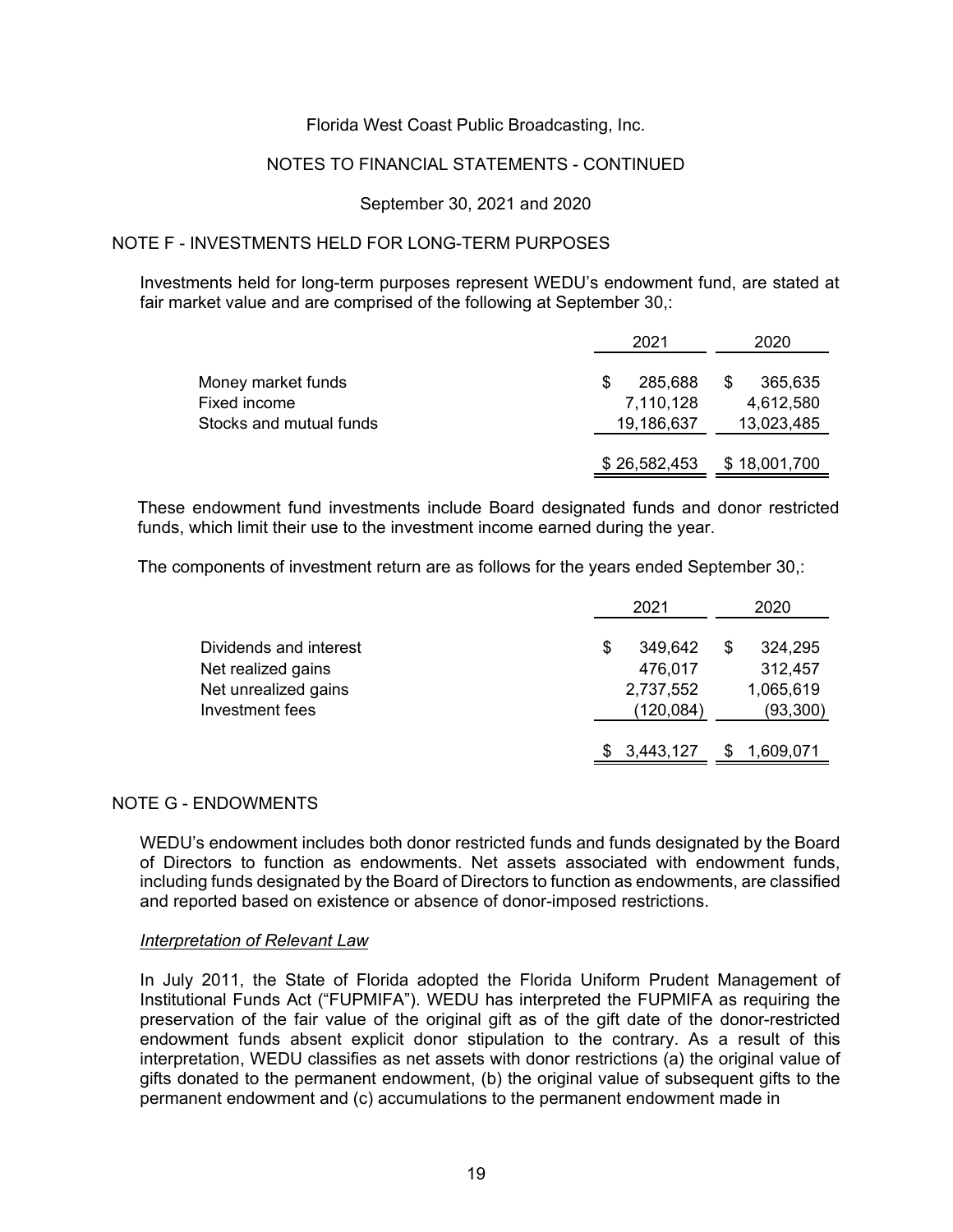### NOTES TO FINANCIAL STATEMENTS - CONTINUED

#### September 30, 2021 and 2020

# NOTE F - INVESTMENTS HELD FOR LONG-TERM PURPOSES

Investments held for long-term purposes represent WEDU's endowment fund, are stated at fair market value and are comprised of the following at September 30,:

|                                                               | 2021                                    | 2020                               |
|---------------------------------------------------------------|-----------------------------------------|------------------------------------|
| Money market funds<br>Fixed income<br>Stocks and mutual funds | S<br>285.688<br>7,110,128<br>19,186,637 | 365,635<br>4,612,580<br>13,023,485 |
|                                                               | \$26,582,453                            | \$18,001,700                       |

These endowment fund investments include Board designated funds and donor restricted funds, which limit their use to the investment income earned during the year.

The components of investment return are as follows for the years ended September 30,:

|                        | 2021          |  | 2020      |  |
|------------------------|---------------|--|-----------|--|
| Dividends and interest | \$<br>349,642 |  | 324,295   |  |
| Net realized gains     | 476,017       |  | 312,457   |  |
| Net unrealized gains   | 2,737,552     |  | 1,065,619 |  |
| Investment fees        | (120,084)     |  | (93,300)  |  |
|                        | 3,443,127     |  | 1,609,071 |  |

### NOTE G - ENDOWMENTS

WEDU's endowment includes both donor restricted funds and funds designated by the Board of Directors to function as endowments. Net assets associated with endowment funds, including funds designated by the Board of Directors to function as endowments, are classified and reported based on existence or absence of donor-imposed restrictions.

#### *Interpretation of Relevant Law*

In July 2011, the State of Florida adopted the Florida Uniform Prudent Management of Institutional Funds Act ("FUPMIFA"). WEDU has interpreted the FUPMIFA as requiring the preservation of the fair value of the original gift as of the gift date of the donor-restricted endowment funds absent explicit donor stipulation to the contrary. As a result of this interpretation, WEDU classifies as net assets with donor restrictions (a) the original value of gifts donated to the permanent endowment, (b) the original value of subsequent gifts to the permanent endowment and (c) accumulations to the permanent endowment made in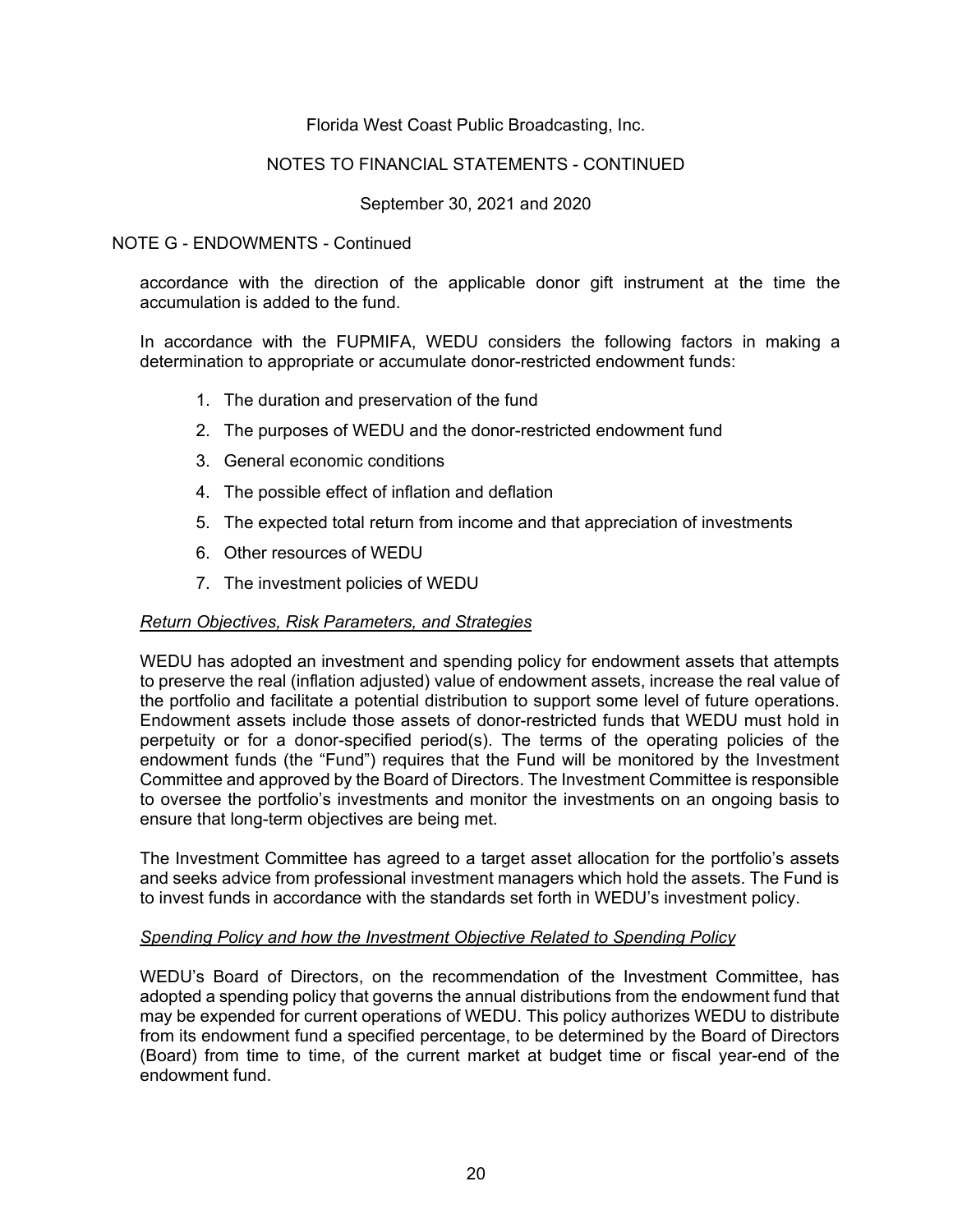### NOTES TO FINANCIAL STATEMENTS - CONTINUED

### September 30, 2021 and 2020

#### NOTE G - ENDOWMENTS - Continued

accordance with the direction of the applicable donor gift instrument at the time the accumulation is added to the fund.

In accordance with the FUPMIFA, WEDU considers the following factors in making a determination to appropriate or accumulate donor-restricted endowment funds:

- 1. The duration and preservation of the fund
- 2. The purposes of WEDU and the donor-restricted endowment fund
- 3. General economic conditions
- 4. The possible effect of inflation and deflation
- 5. The expected total return from income and that appreciation of investments
- 6. Other resources of WEDU
- 7. The investment policies of WEDU

#### *Return Objectives, Risk Parameters, and Strategies*

WEDU has adopted an investment and spending policy for endowment assets that attempts to preserve the real (inflation adjusted) value of endowment assets, increase the real value of the portfolio and facilitate a potential distribution to support some level of future operations. Endowment assets include those assets of donor-restricted funds that WEDU must hold in perpetuity or for a donor-specified period(s). The terms of the operating policies of the endowment funds (the "Fund") requires that the Fund will be monitored by the Investment Committee and approved by the Board of Directors. The Investment Committee is responsible to oversee the portfolio's investments and monitor the investments on an ongoing basis to ensure that long-term objectives are being met.

The Investment Committee has agreed to a target asset allocation for the portfolio's assets and seeks advice from professional investment managers which hold the assets. The Fund is to invest funds in accordance with the standards set forth in WEDU's investment policy.

#### *Spending Policy and how the Investment Objective Related to Spending Policy*

WEDU's Board of Directors, on the recommendation of the Investment Committee, has adopted a spending policy that governs the annual distributions from the endowment fund that may be expended for current operations of WEDU. This policy authorizes WEDU to distribute from its endowment fund a specified percentage, to be determined by the Board of Directors (Board) from time to time, of the current market at budget time or fiscal year-end of the endowment fund.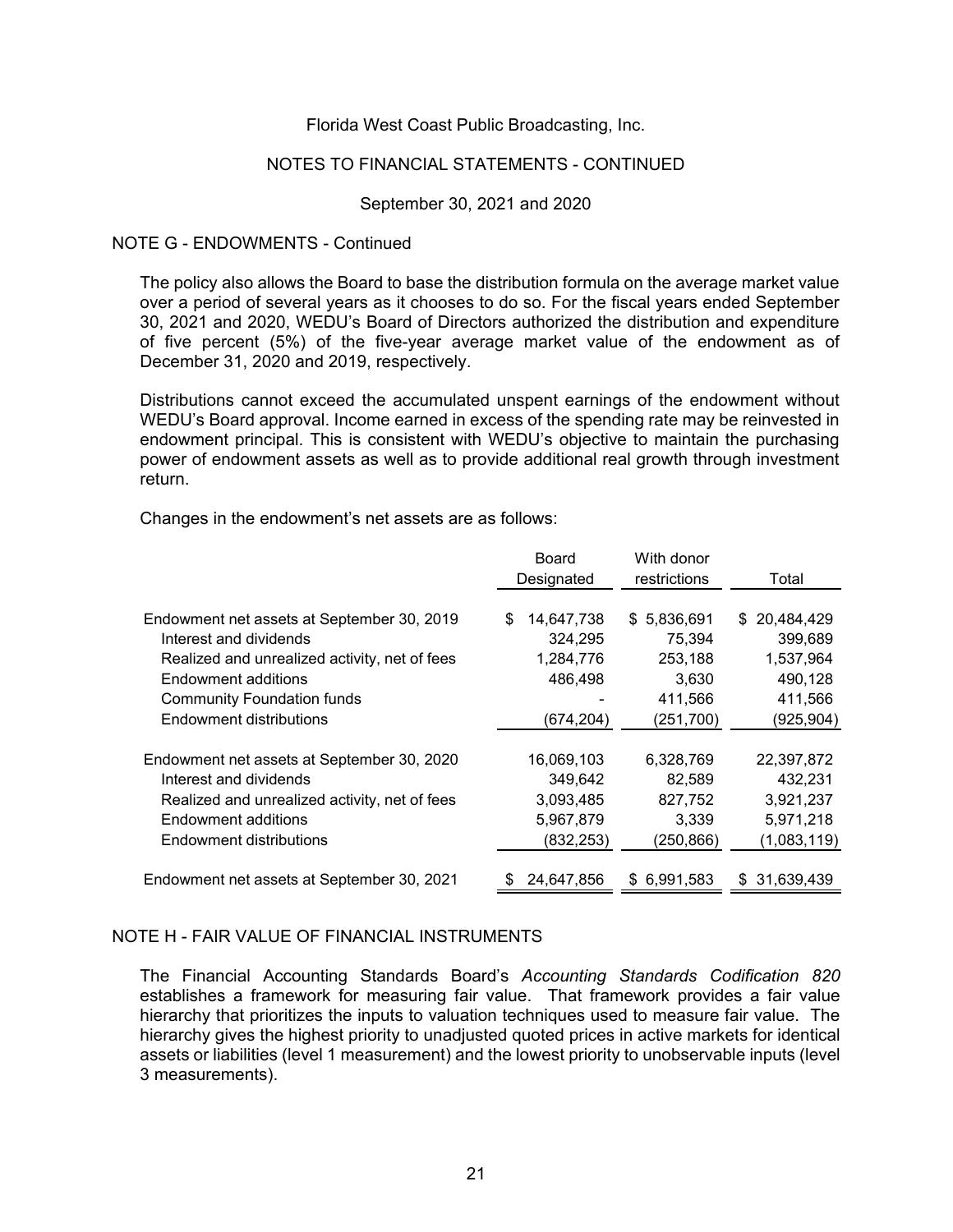#### NOTES TO FINANCIAL STATEMENTS - CONTINUED

#### September 30, 2021 and 2020

#### NOTE G - ENDOWMENTS - Continued

The policy also allows the Board to base the distribution formula on the average market value over a period of several years as it chooses to do so. For the fiscal years ended September 30, 2021 and 2020, WEDU's Board of Directors authorized the distribution and expenditure of five percent (5%) of the five-year average market value of the endowment as of December 31, 2020 and 2019, respectively.

Distributions cannot exceed the accumulated unspent earnings of the endowment without WEDU's Board approval. Income earned in excess of the spending rate may be reinvested in endowment principal. This is consistent with WEDU's objective to maintain the purchasing power of endowment assets as well as to provide additional real growth through investment return.

Changes in the endowment's net assets are as follows:

|                                               | <b>Board</b><br>Designated | With donor<br>restrictions | Total            |
|-----------------------------------------------|----------------------------|----------------------------|------------------|
|                                               |                            |                            |                  |
| Endowment net assets at September 30, 2019    | \$<br>14,647,738           | \$5,836,691                | 20,484,429<br>S. |
| Interest and dividends                        | 324,295                    | 75,394                     | 399,689          |
| Realized and unrealized activity, net of fees | 1,284,776                  | 253,188                    | 1,537,964        |
| Endowment additions                           | 486,498                    | 3,630                      | 490,128          |
| <b>Community Foundation funds</b>             |                            | 411,566                    | 411,566          |
| Endowment distributions                       | (674, 204)                 | (251, 700)                 | (925,904)        |
|                                               |                            |                            |                  |
| Endowment net assets at September 30, 2020    | 16,069,103                 | 6,328,769                  | 22,397,872       |
| Interest and dividends                        | 349,642                    | 82,589                     | 432,231          |
| Realized and unrealized activity, net of fees | 3,093,485                  | 827,752                    | 3,921,237        |
| Endowment additions                           | 5,967,879                  | 3,339                      | 5,971,218        |
| Endowment distributions                       | (832, 253)                 | (250, 866)                 | (1,083,119)      |
|                                               |                            |                            |                  |
| Endowment net assets at September 30, 2021    | 24,647,856                 | \$6,991,583                | 31,639,439       |
|                                               |                            |                            |                  |

#### NOTE H - FAIR VALUE OF FINANCIAL INSTRUMENTS

The Financial Accounting Standards Board's *Accounting Standards Codification 820* establishes a framework for measuring fair value. That framework provides a fair value hierarchy that prioritizes the inputs to valuation techniques used to measure fair value. The hierarchy gives the highest priority to unadjusted quoted prices in active markets for identical assets or liabilities (level 1 measurement) and the lowest priority to unobservable inputs (level 3 measurements).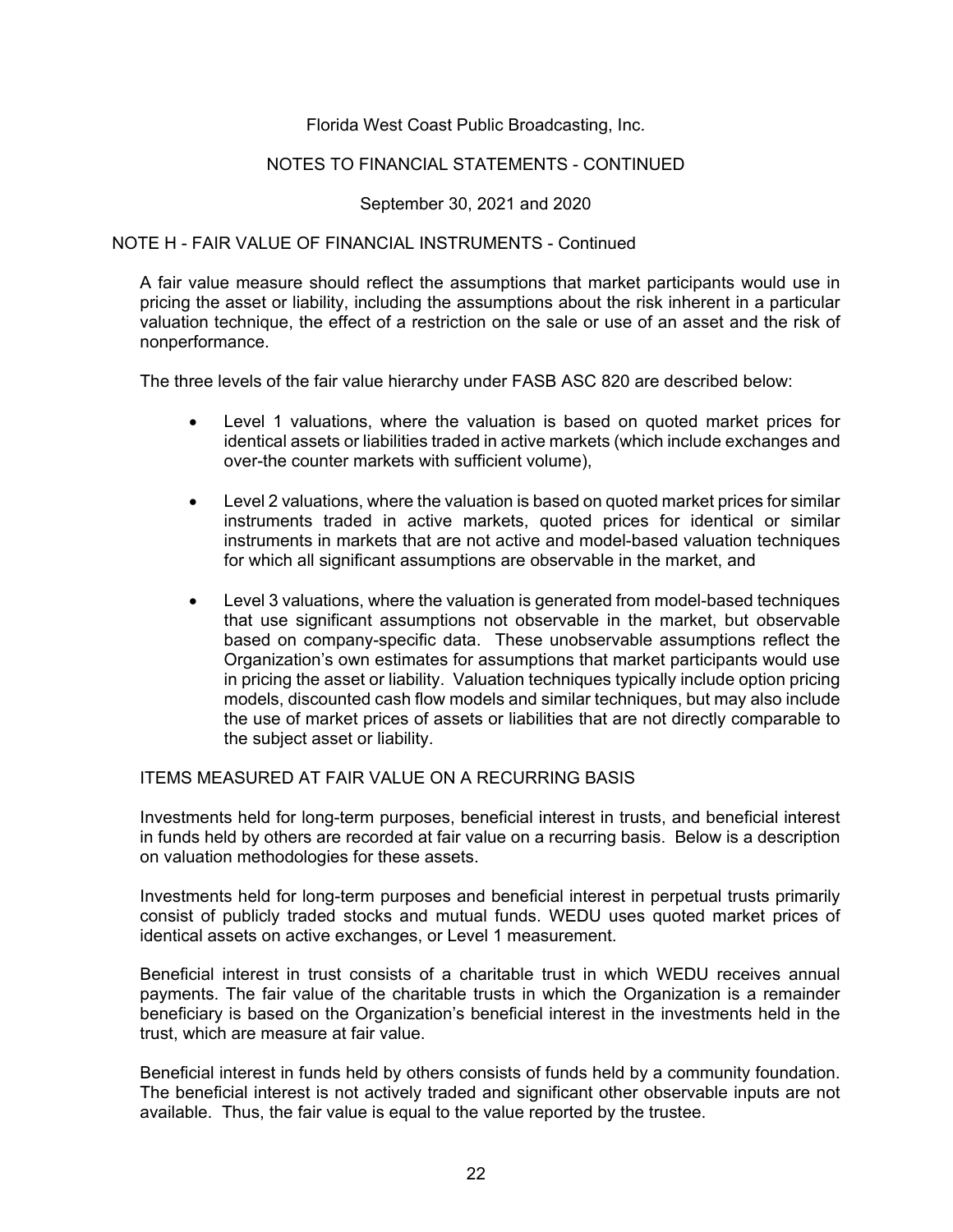### NOTES TO FINANCIAL STATEMENTS - CONTINUED

#### September 30, 2021 and 2020

#### NOTE H - FAIR VALUE OF FINANCIAL INSTRUMENTS - Continued

A fair value measure should reflect the assumptions that market participants would use in pricing the asset or liability, including the assumptions about the risk inherent in a particular valuation technique, the effect of a restriction on the sale or use of an asset and the risk of nonperformance.

The three levels of the fair value hierarchy under FASB ASC 820 are described below:

- Level 1 valuations, where the valuation is based on quoted market prices for identical assets or liabilities traded in active markets (which include exchanges and over-the counter markets with sufficient volume),
- Level 2 valuations, where the valuation is based on quoted market prices for similar instruments traded in active markets, quoted prices for identical or similar instruments in markets that are not active and model-based valuation techniques for which all significant assumptions are observable in the market, and
- Level 3 valuations, where the valuation is generated from model-based techniques that use significant assumptions not observable in the market, but observable based on company-specific data. These unobservable assumptions reflect the Organization's own estimates for assumptions that market participants would use in pricing the asset or liability. Valuation techniques typically include option pricing models, discounted cash flow models and similar techniques, but may also include the use of market prices of assets or liabilities that are not directly comparable to the subject asset or liability.

ITEMS MEASURED AT FAIR VALUE ON A RECURRING BASIS

Investments held for long-term purposes, beneficial interest in trusts, and beneficial interest in funds held by others are recorded at fair value on a recurring basis. Below is a description on valuation methodologies for these assets.

Investments held for long-term purposes and beneficial interest in perpetual trusts primarily consist of publicly traded stocks and mutual funds. WEDU uses quoted market prices of identical assets on active exchanges, or Level 1 measurement.

Beneficial interest in trust consists of a charitable trust in which WEDU receives annual payments. The fair value of the charitable trusts in which the Organization is a remainder beneficiary is based on the Organization's beneficial interest in the investments held in the trust, which are measure at fair value.

Beneficial interest in funds held by others consists of funds held by a community foundation. The beneficial interest is not actively traded and significant other observable inputs are not available. Thus, the fair value is equal to the value reported by the trustee.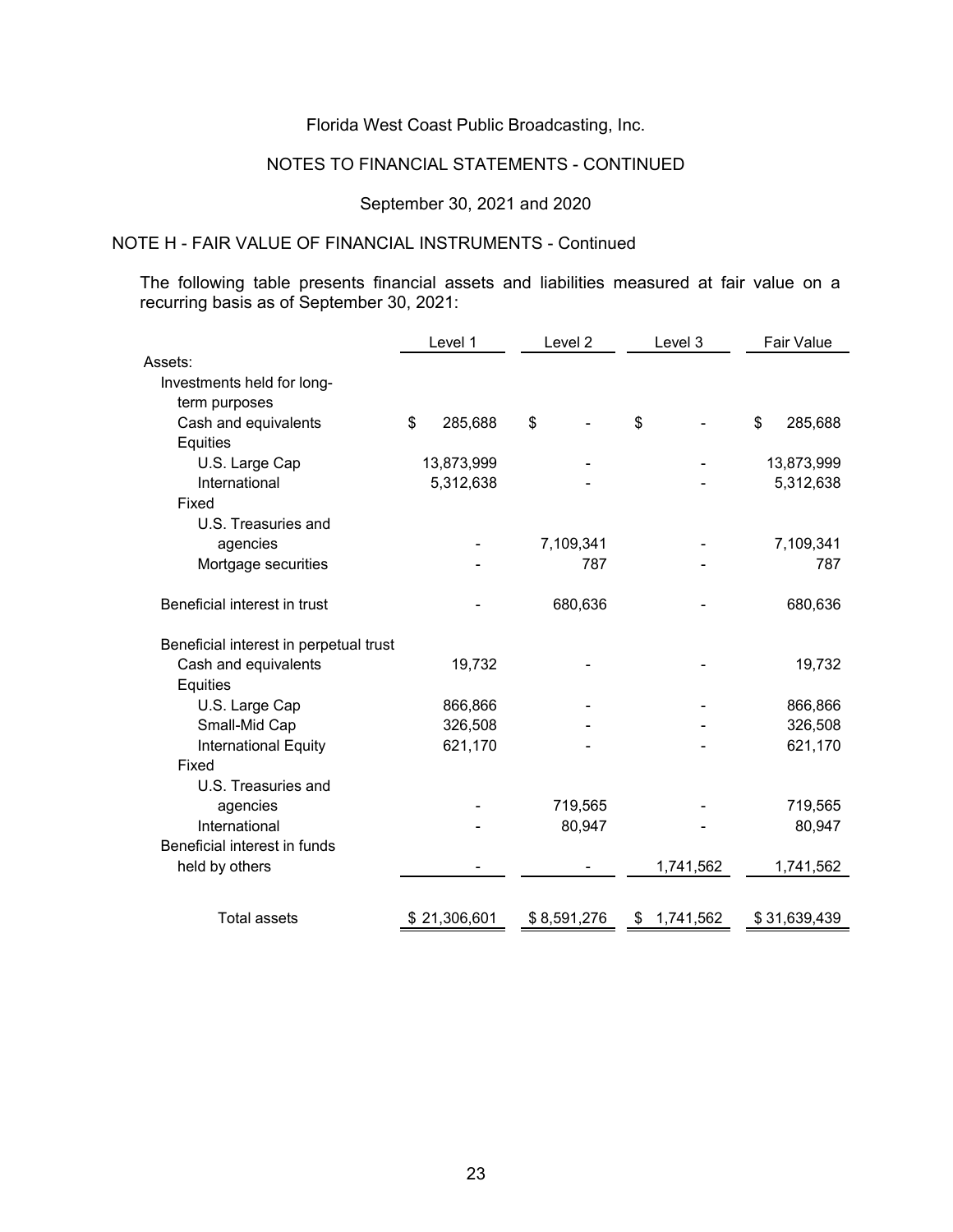# NOTES TO FINANCIAL STATEMENTS - CONTINUED

# September 30, 2021 and 2020

# NOTE H - FAIR VALUE OF FINANCIAL INSTRUMENTS - Continued

The following table presents financial assets and liabilities measured at fair value on a recurring basis as of September 30, 2021:

|                                        | Level 1       | Level <sub>2</sub> | Level 3         | Fair Value    |
|----------------------------------------|---------------|--------------------|-----------------|---------------|
| Assets:                                |               |                    |                 |               |
| Investments held for long-             |               |                    |                 |               |
| term purposes                          |               |                    |                 |               |
| Cash and equivalents                   | \$<br>285,688 | \$                 | \$              | \$<br>285,688 |
| Equities                               |               |                    |                 |               |
| U.S. Large Cap                         | 13,873,999    |                    |                 | 13,873,999    |
| International                          | 5,312,638     |                    |                 | 5,312,638     |
| Fixed                                  |               |                    |                 |               |
| U.S. Treasuries and                    |               |                    |                 |               |
| agencies                               |               | 7,109,341          |                 | 7,109,341     |
| Mortgage securities                    |               | 787                |                 | 787           |
| Beneficial interest in trust           |               | 680,636            |                 | 680,636       |
| Beneficial interest in perpetual trust |               |                    |                 |               |
| Cash and equivalents                   | 19,732        |                    |                 | 19,732        |
| Equities                               |               |                    |                 |               |
| U.S. Large Cap                         | 866,866       |                    |                 | 866,866       |
| Small-Mid Cap                          | 326,508       |                    |                 | 326,508       |
| International Equity                   | 621,170       |                    |                 | 621,170       |
| Fixed                                  |               |                    |                 |               |
| U.S. Treasuries and                    |               |                    |                 |               |
| agencies                               |               | 719,565            |                 | 719,565       |
| International                          |               | 80,947             |                 | 80,947        |
| Beneficial interest in funds           |               |                    |                 |               |
| held by others                         |               |                    | 1,741,562       | 1,741,562     |
| <b>Total assets</b>                    | \$21,306,601  | \$8,591,276        | 1,741,562<br>\$ | \$31,639,439  |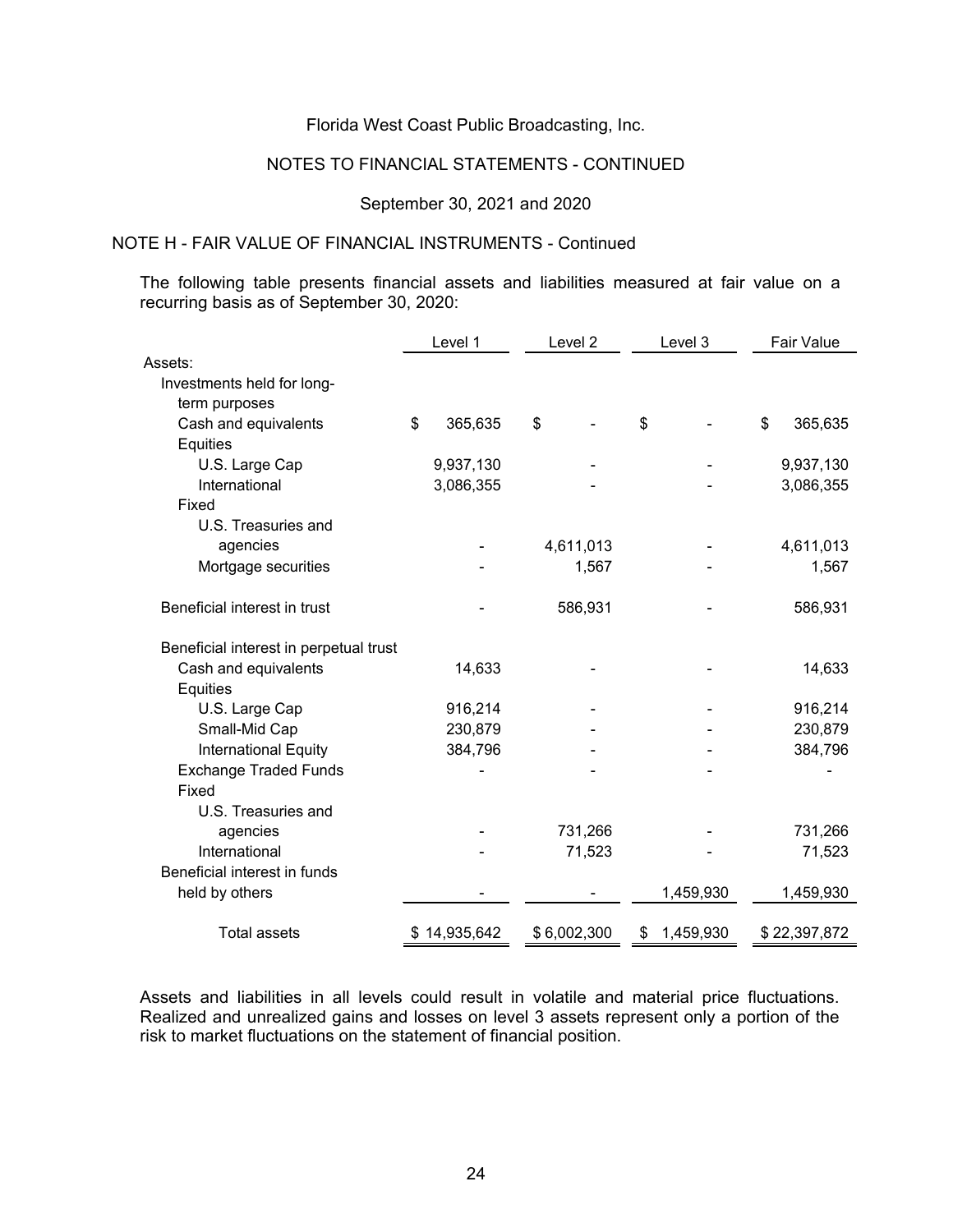# NOTES TO FINANCIAL STATEMENTS - CONTINUED

#### September 30, 2021 and 2020

# NOTE H - FAIR VALUE OF FINANCIAL INSTRUMENTS - Continued

The following table presents financial assets and liabilities measured at fair value on a recurring basis as of September 30, 2020:

|                                        | Level 1       | Level 2     | Level 3         | Fair Value    |
|----------------------------------------|---------------|-------------|-----------------|---------------|
| Assets:                                |               |             |                 |               |
| Investments held for long-             |               |             |                 |               |
| term purposes                          |               |             |                 |               |
| Cash and equivalents                   | \$<br>365,635 | \$          | \$              | \$<br>365,635 |
| Equities                               |               |             |                 |               |
| U.S. Large Cap                         | 9,937,130     |             |                 | 9,937,130     |
| International                          | 3,086,355     |             |                 | 3,086,355     |
| Fixed                                  |               |             |                 |               |
| U.S. Treasuries and                    |               |             |                 |               |
| agencies                               |               | 4,611,013   |                 | 4,611,013     |
| Mortgage securities                    |               | 1,567       |                 | 1,567         |
| Beneficial interest in trust           |               | 586,931     |                 | 586,931       |
| Beneficial interest in perpetual trust |               |             |                 |               |
| Cash and equivalents                   | 14,633        |             |                 | 14,633        |
| Equities                               |               |             |                 |               |
| U.S. Large Cap                         | 916,214       |             |                 | 916,214       |
| Small-Mid Cap                          | 230,879       |             |                 | 230,879       |
| International Equity                   | 384,796       |             |                 | 384,796       |
| <b>Exchange Traded Funds</b>           |               |             |                 |               |
| Fixed                                  |               |             |                 |               |
| U.S. Treasuries and                    |               |             |                 |               |
| agencies                               |               | 731,266     |                 | 731,266       |
| International                          |               | 71,523      |                 | 71,523        |
| Beneficial interest in funds           |               |             |                 |               |
| held by others                         |               |             | 1,459,930       | 1,459,930     |
| <b>Total assets</b>                    | \$14,935,642  | \$6,002,300 | \$<br>1,459,930 | \$22,397,872  |

Assets and liabilities in all levels could result in volatile and material price fluctuations. Realized and unrealized gains and losses on level 3 assets represent only a portion of the risk to market fluctuations on the statement of financial position.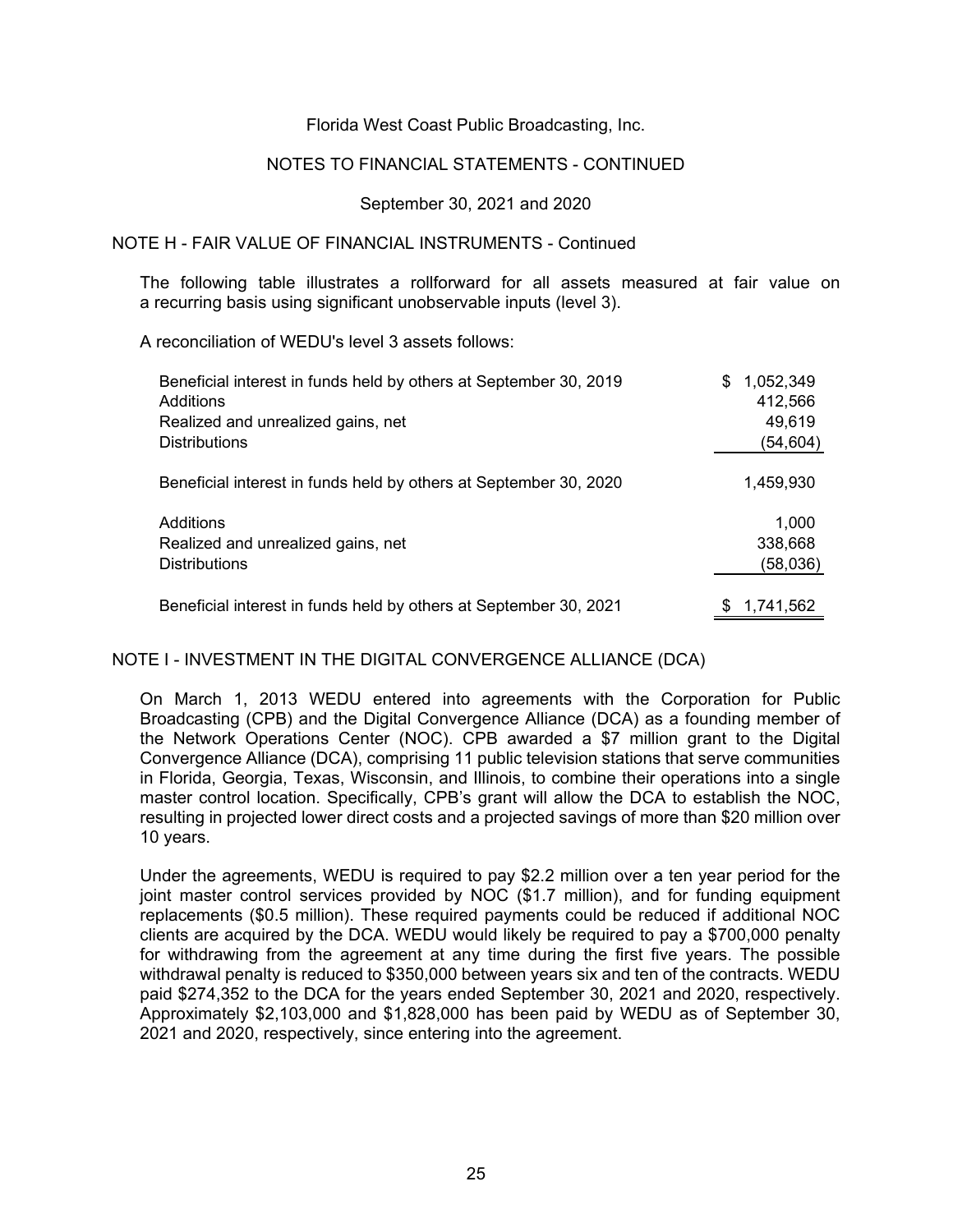#### NOTES TO FINANCIAL STATEMENTS - CONTINUED

September 30, 2021 and 2020

#### NOTE H - FAIR VALUE OF FINANCIAL INSTRUMENTS - Continued

The following table illustrates a rollforward for all assets measured at fair value on a recurring basis using significant unobservable inputs (level 3).

A reconciliation of WEDU's level 3 assets follows:

| Beneficial interest in funds held by others at September 30, 2019<br>Additions<br>Realized and unrealized gains, net<br><b>Distributions</b> | S | 1,052,349<br>412,566<br>49,619<br>(54,604) |
|----------------------------------------------------------------------------------------------------------------------------------------------|---|--------------------------------------------|
| Beneficial interest in funds held by others at September 30, 2020                                                                            |   | 1,459,930                                  |
| Additions<br>Realized and unrealized gains, net<br><b>Distributions</b>                                                                      |   | 1,000<br>338,668<br>(58,036)               |
| Beneficial interest in funds held by others at September 30, 2021                                                                            |   | 1,741,562                                  |

#### NOTE I - INVESTMENT IN THE DIGITAL CONVERGENCE ALLIANCE (DCA)

On March 1, 2013 WEDU entered into agreements with the Corporation for Public Broadcasting (CPB) and the Digital Convergence Alliance (DCA) as a founding member of the Network Operations Center (NOC). CPB awarded a \$7 million grant to the Digital Convergence Alliance (DCA), comprising 11 public television stations that serve communities in Florida, Georgia, Texas, Wisconsin, and Illinois, to combine their operations into a single master control location. Specifically, CPB's grant will allow the DCA to establish the NOC, resulting in projected lower direct costs and a projected savings of more than \$20 million over 10 years.

Under the agreements, WEDU is required to pay \$2.2 million over a ten year period for the joint master control services provided by NOC (\$1.7 million), and for funding equipment replacements (\$0.5 million). These required payments could be reduced if additional NOC clients are acquired by the DCA. WEDU would likely be required to pay a \$700,000 penalty for withdrawing from the agreement at any time during the first five years. The possible withdrawal penalty is reduced to \$350,000 between years six and ten of the contracts. WEDU paid \$274,352 to the DCA for the years ended September 30, 2021 and 2020, respectively. Approximately \$2,103,000 and \$1,828,000 has been paid by WEDU as of September 30, 2021 and 2020, respectively, since entering into the agreement.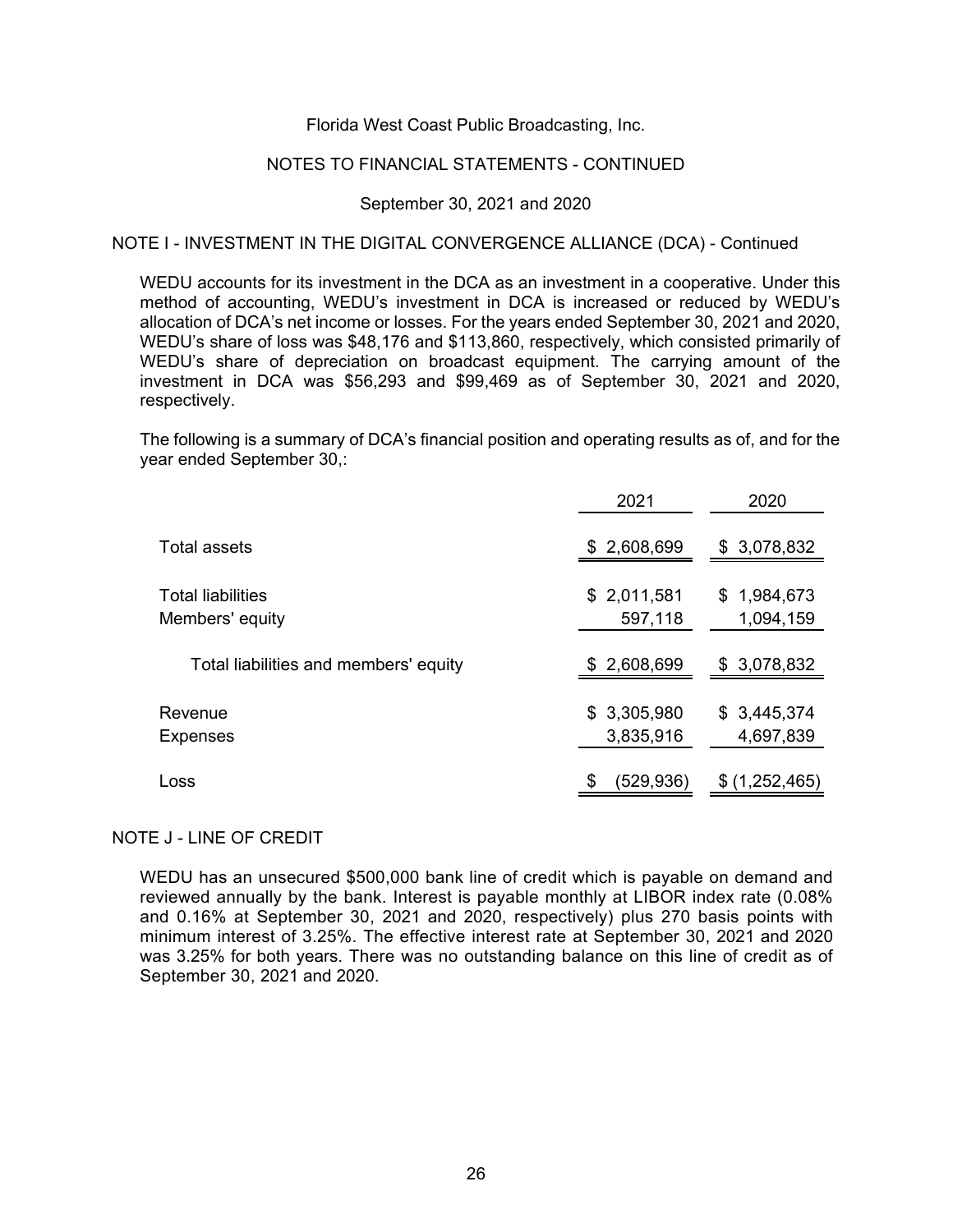#### NOTES TO FINANCIAL STATEMENTS - CONTINUED

#### September 30, 2021 and 2020

### NOTE I - INVESTMENT IN THE DIGITAL CONVERGENCE ALLIANCE (DCA) - Continued

WEDU accounts for its investment in the DCA as an investment in a cooperative. Under this method of accounting, WEDU's investment in DCA is increased or reduced by WEDU's allocation of DCA's net income or losses. For the years ended September 30, 2021 and 2020, WEDU's share of loss was \$48,176 and \$113,860, respectively, which consisted primarily of WEDU's share of depreciation on broadcast equipment. The carrying amount of the investment in DCA was \$56,293 and \$99,469 as of September 30, 2021 and 2020, respectively.

The following is a summary of DCA's financial position and operating results as of, and for the year ended September 30,:

|                                             | 2021                     | 2020                     |
|---------------------------------------------|--------------------------|--------------------------|
| Total assets                                | \$2,608,699              | \$3,078,832              |
| <b>Total liabilities</b><br>Members' equity | \$2,011,581<br>597,118   | \$1,984,673<br>1,094,159 |
| Total liabilities and members' equity       | \$2,608,699              | \$3,078,832              |
| Revenue<br><b>Expenses</b>                  | \$3,305,980<br>3,835,916 | \$3,445,374<br>4,697,839 |
| Loss                                        | (529,936)<br>S           | (1,252,465)<br>S         |

#### NOTE J - LINE OF CREDIT

WEDU has an unsecured \$500,000 bank line of credit which is payable on demand and reviewed annually by the bank. Interest is payable monthly at LIBOR index rate (0.08% and 0.16% at September 30, 2021 and 2020, respectively) plus 270 basis points with minimum interest of 3.25%. The effective interest rate at September 30, 2021 and 2020 was 3.25% for both years. There was no outstanding balance on this line of credit as of September 30, 2021 and 2020.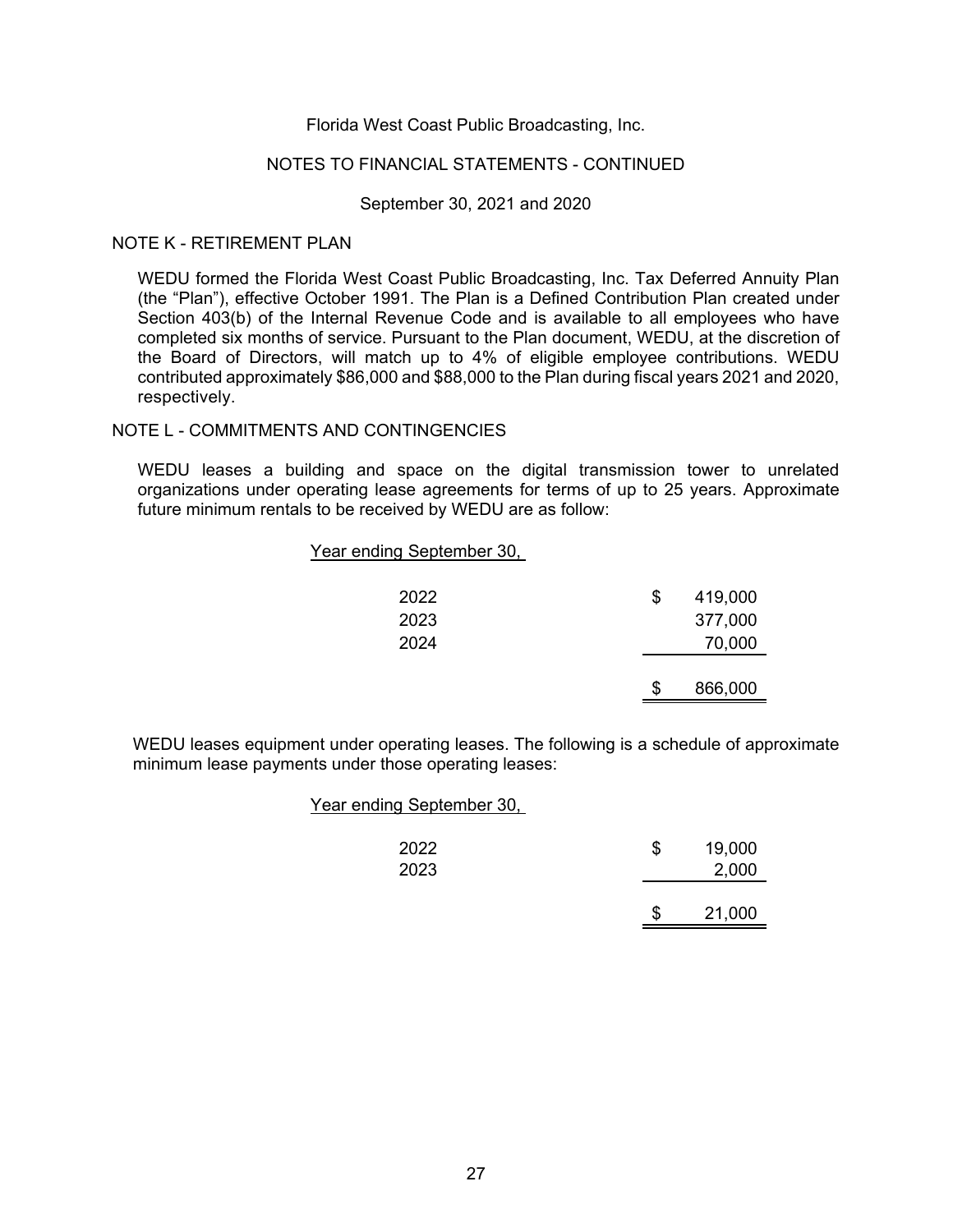# NOTES TO FINANCIAL STATEMENTS - CONTINUED

#### September 30, 2021 and 2020

#### NOTE K - RETIREMENT PLAN

WEDU formed the Florida West Coast Public Broadcasting, Inc. Tax Deferred Annuity Plan (the "Plan"), effective October 1991. The Plan is a Defined Contribution Plan created under Section 403(b) of the Internal Revenue Code and is available to all employees who have completed six months of service. Pursuant to the Plan document, WEDU, at the discretion of the Board of Directors, will match up to 4% of eligible employee contributions. WEDU contributed approximately \$86,000 and \$88,000 to the Plan during fiscal years 2021 and 2020, respectively.

# NOTE L - COMMITMENTS AND CONTINGENCIES

WEDU leases a building and space on the digital transmission tower to unrelated organizations under operating lease agreements for terms of up to 25 years. Approximate future minimum rentals to be received by WEDU are as follow:

# Year ending September 30,

| 2022 | S | 419,000 |
|------|---|---------|
| 2023 |   | 377,000 |
| 2024 |   | 70,000  |
|      |   |         |
|      |   | 866,000 |

WEDU leases equipment under operating leases. The following is a schedule of approximate minimum lease payments under those operating leases:

#### Year ending September 30,

| 2022<br>2023 | S | 19,000<br>2,000 |
|--------------|---|-----------------|
|              | S | 21,000          |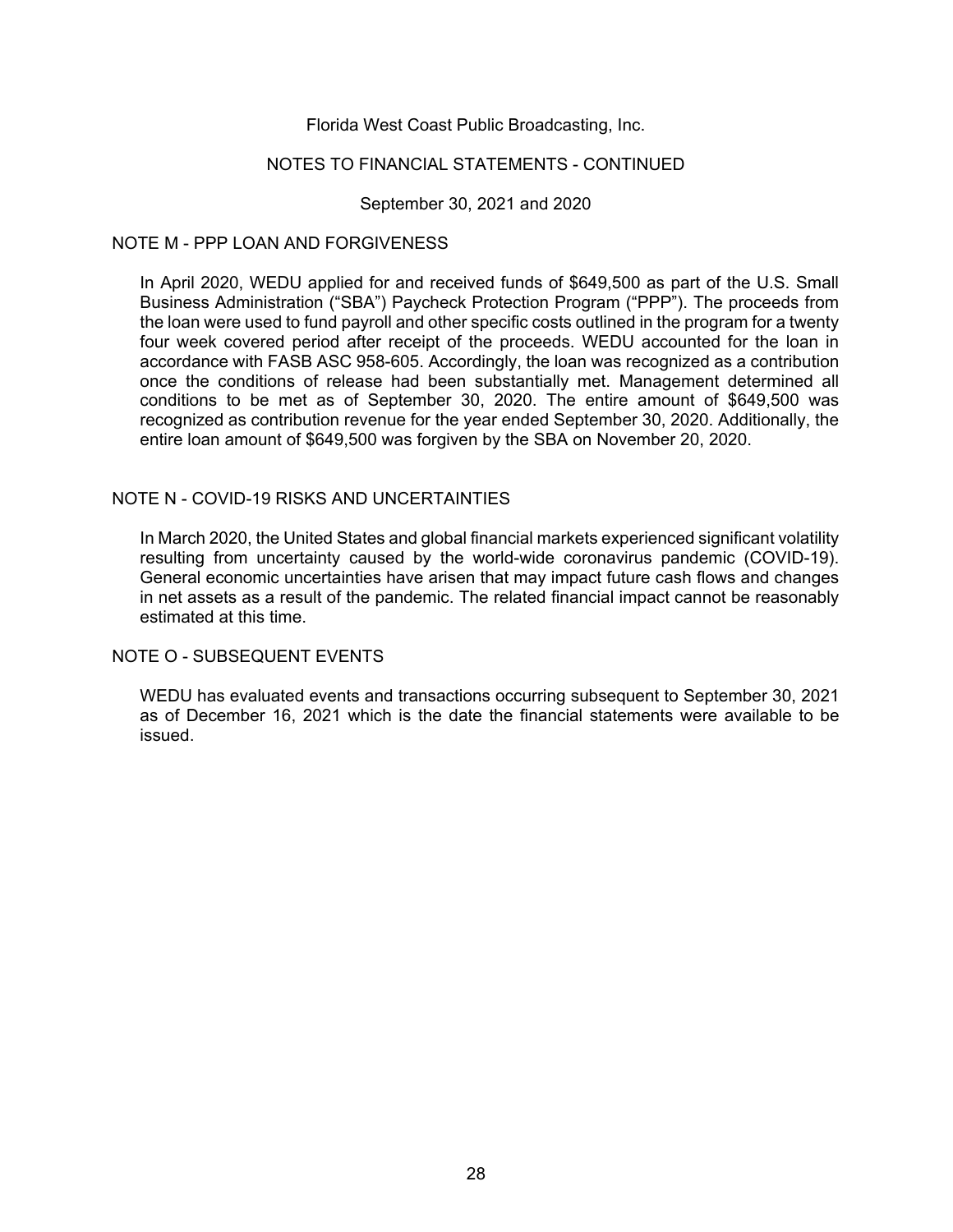#### NOTES TO FINANCIAL STATEMENTS - CONTINUED

September 30, 2021 and 2020

#### NOTE M - PPP LOAN AND FORGIVENESS

In April 2020, WEDU applied for and received funds of \$649,500 as part of the U.S. Small Business Administration ("SBA") Paycheck Protection Program ("PPP"). The proceeds from the loan were used to fund payroll and other specific costs outlined in the program for a twenty four week covered period after receipt of the proceeds. WEDU accounted for the loan in accordance with FASB ASC 958-605. Accordingly, the loan was recognized as a contribution once the conditions of release had been substantially met. Management determined all conditions to be met as of September 30, 2020. The entire amount of \$649,500 was recognized as contribution revenue for the year ended September 30, 2020. Additionally, the entire loan amount of \$649,500 was forgiven by the SBA on November 20, 2020.

# NOTE N - COVID-19 RISKS AND UNCERTAINTIES

In March 2020, the United States and global financial markets experienced significant volatility resulting from uncertainty caused by the world-wide coronavirus pandemic (COVID-19). General economic uncertainties have arisen that may impact future cash flows and changes in net assets as a result of the pandemic. The related financial impact cannot be reasonably estimated at this time.

#### NOTE O - SUBSEQUENT EVENTS

WEDU has evaluated events and transactions occurring subsequent to September 30, 2021 as of December 16, 2021 which is the date the financial statements were available to be issued.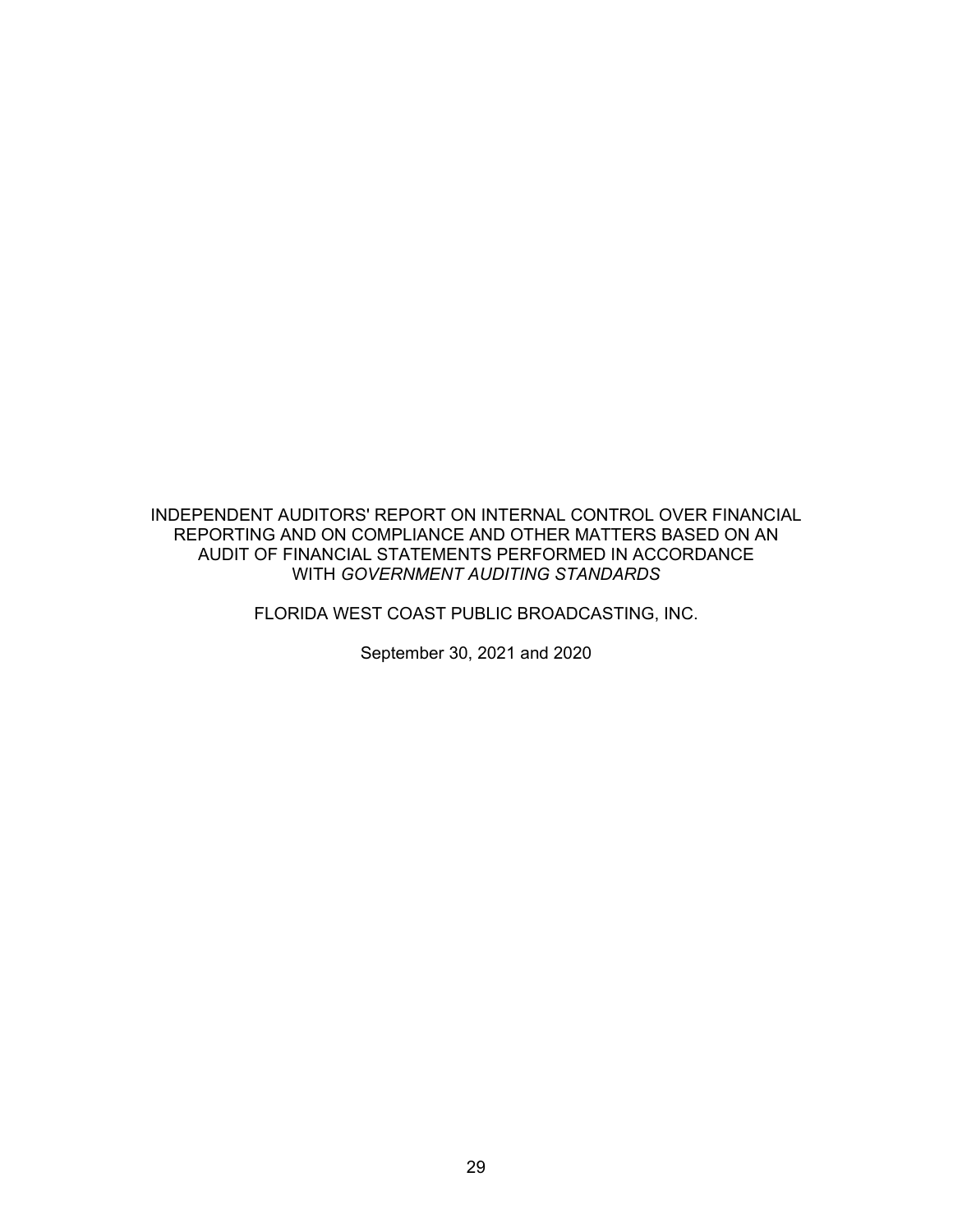INDEPENDENT AUDITORS' REPORT ON INTERNAL CONTROL OVER FINANCIAL REPORTING AND ON COMPLIANCE AND OTHER MATTERS BASED ON AN AUDIT OF FINANCIAL STATEMENTS PERFORMED IN ACCORDANCE WITH *GOVERNMENT AUDITING STANDARDS*

FLORIDA WEST COAST PUBLIC BROADCASTING, INC.

September 30, 2021 and 2020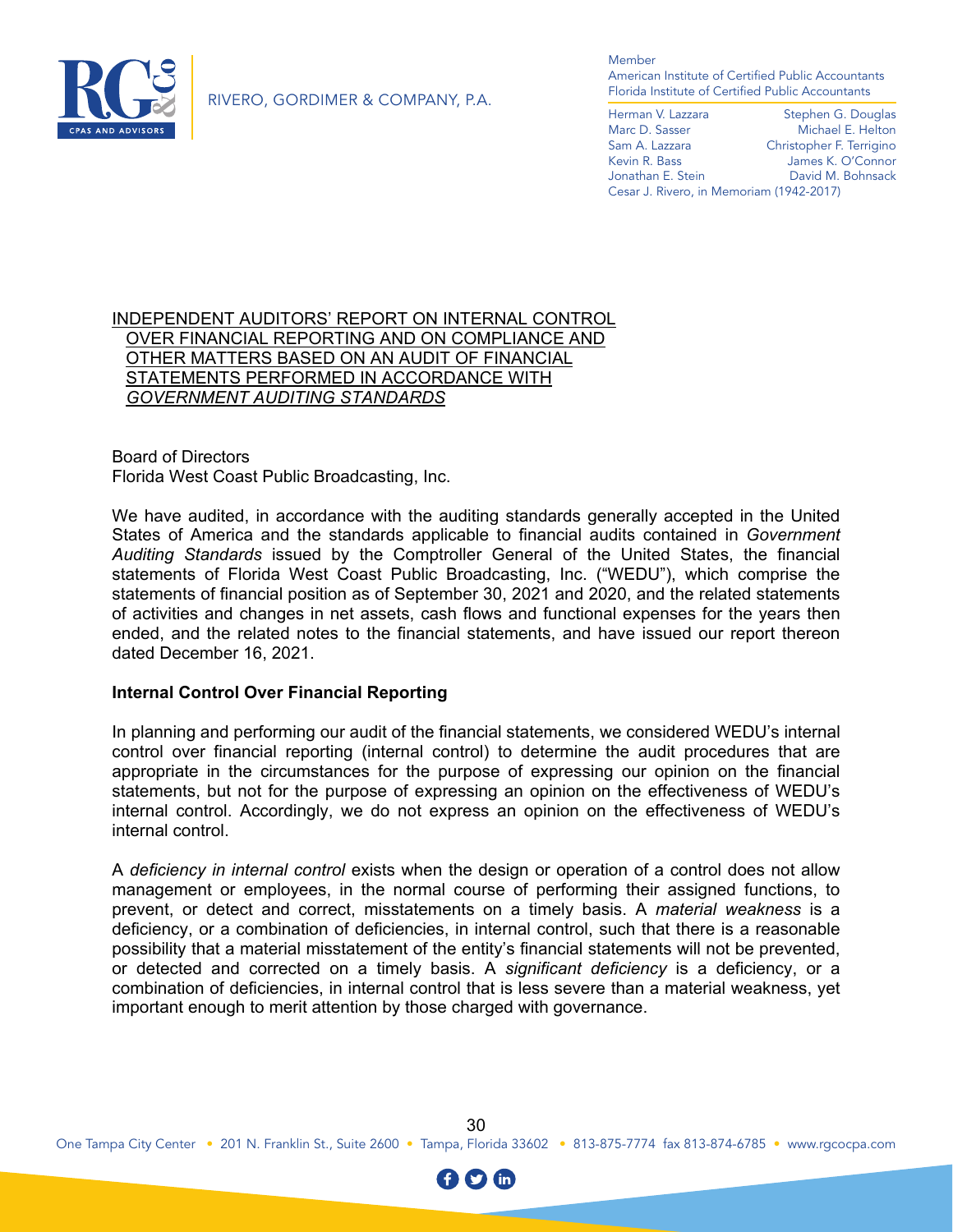

RIVERO, GORDIMER & COMPANY, P.A.

Member

American Institute of Certified Public Accountants Florida Institute of Certified Public Accountants

Herman V. Lazzara Stephen G. Douglas Marc D. Sasser Michael E. Helton<br>
Sam A. Lazzara Christopher F. Terrigino Christopher F. Terrigino Kevin R. Bass James K. O'Connor Jonathan E. Stein David M. Bohnsack Cesar J. Rivero, in Memoriam (1942-2017)

# INDEPENDENT AUDITORS' REPORT ON INTERNAL CONTROL OVER FINANCIAL REPORTING AND ON COMPLIANCE AND OTHER MATTERS BASED ON AN AUDIT OF FINANCIAL STATEMENTS PERFORMED IN ACCORDANCE WITH *GOVERNMENT AUDITING STANDARDS*

Board of Directors Florida West Coast Public Broadcasting, Inc.

We have audited, in accordance with the auditing standards generally accepted in the United States of America and the standards applicable to financial audits contained in *Government Auditing Standards* issued by the Comptroller General of the United States, the financial statements of Florida West Coast Public Broadcasting, Inc. ("WEDU"), which comprise the statements of financial position as of September 30, 2021 and 2020, and the related statements of activities and changes in net assets, cash flows and functional expenses for the years then ended, and the related notes to the financial statements, and have issued our report thereon dated December 16, 2021.

# **Internal Control Over Financial Reporting**

In planning and performing our audit of the financial statements, we considered WEDU's internal control over financial reporting (internal control) to determine the audit procedures that are appropriate in the circumstances for the purpose of expressing our opinion on the financial statements, but not for the purpose of expressing an opinion on the effectiveness of WEDU's internal control. Accordingly, we do not express an opinion on the effectiveness of WEDU's internal control.

A *deficiency in internal control* exists when the design or operation of a control does not allow management or employees, in the normal course of performing their assigned functions, to prevent, or detect and correct, misstatements on a timely basis. A *material weakness* is a deficiency, or a combination of deficiencies, in internal control, such that there is a reasonable possibility that a material misstatement of the entity's financial statements will not be prevented, or detected and corrected on a timely basis. A *significant deficiency* is a deficiency, or a combination of deficiencies, in internal control that is less severe than a material weakness, yet important enough to merit attention by those charged with governance.

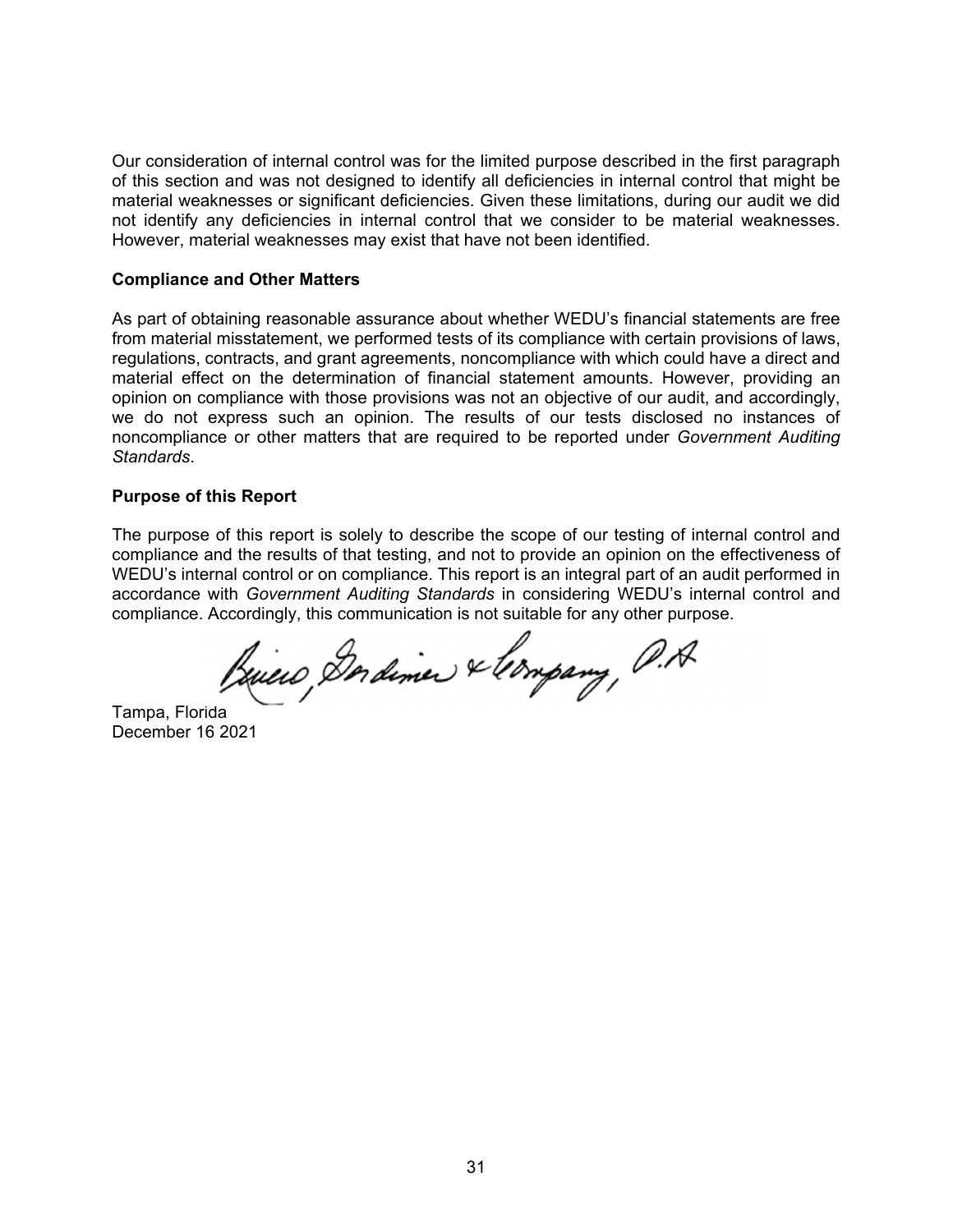Our consideration of internal control was for the limited purpose described in the first paragraph of this section and was not designed to identify all deficiencies in internal control that might be material weaknesses or significant deficiencies. Given these limitations, during our audit we did not identify any deficiencies in internal control that we consider to be material weaknesses. However, material weaknesses may exist that have not been identified.

### **Compliance and Other Matters**

As part of obtaining reasonable assurance about whether WEDU's financial statements are free from material misstatement, we performed tests of its compliance with certain provisions of laws, regulations, contracts, and grant agreements, noncompliance with which could have a direct and material effect on the determination of financial statement amounts. However, providing an opinion on compliance with those provisions was not an objective of our audit, and accordingly, we do not express such an opinion. The results of our tests disclosed no instances of noncompliance or other matters that are required to be reported under *Government Auditing Standards*.

# **Purpose of this Report**

The purpose of this report is solely to describe the scope of our testing of internal control and compliance and the results of that testing, and not to provide an opinion on the effectiveness of WEDU's internal control or on compliance. This report is an integral part of an audit performed in accordance with *Government Auditing Standards* in considering WEDU's internal control and compliance. Accordingly, this communication is not suitable for any other purpose.

Briero, Derdiner & longary, P.A.

Tampa, Florida December 16 2021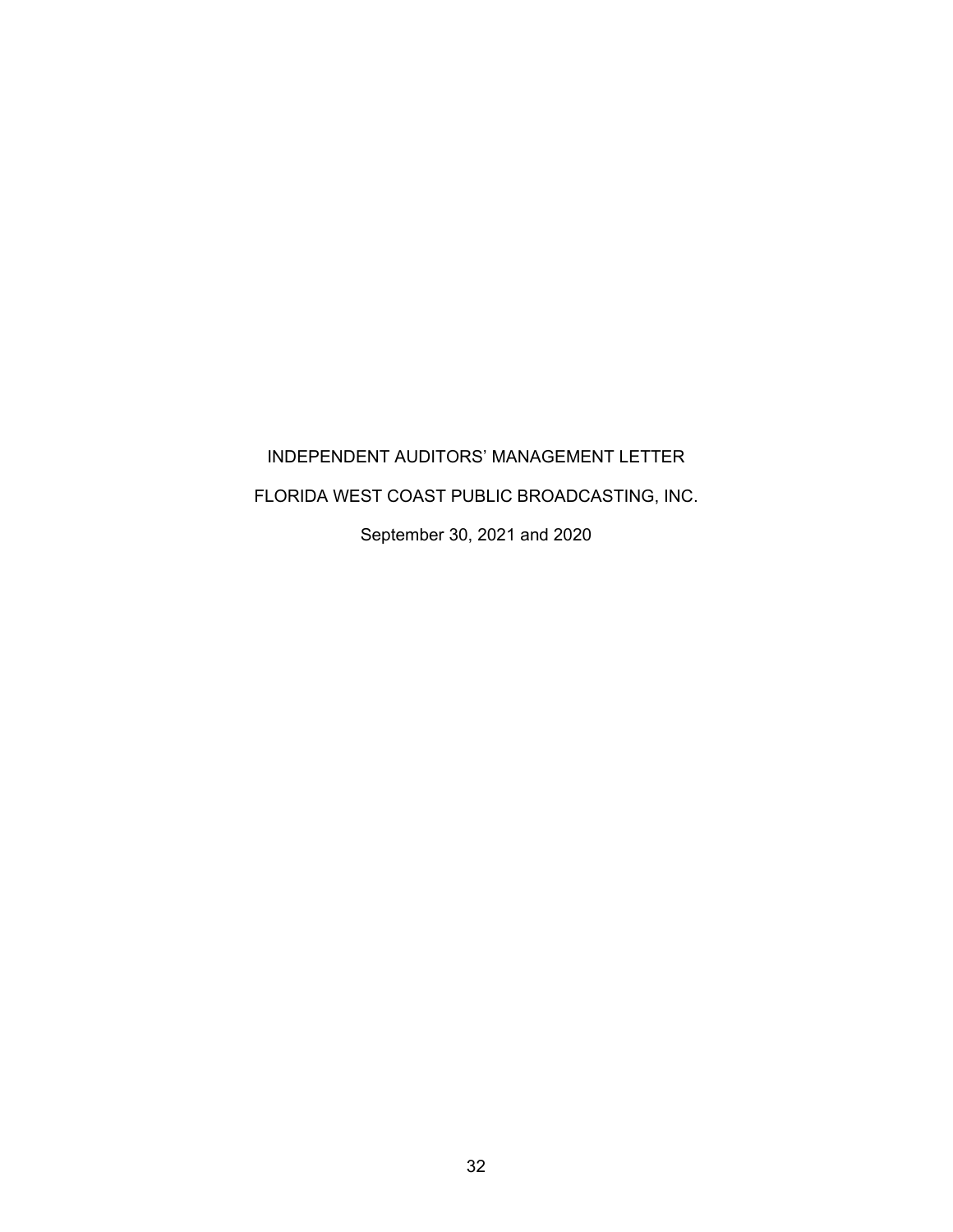# INDEPENDENT AUDITORS' MANAGEMENT LETTER FLORIDA WEST COAST PUBLIC BROADCASTING, INC. September 30, 2021 and 2020